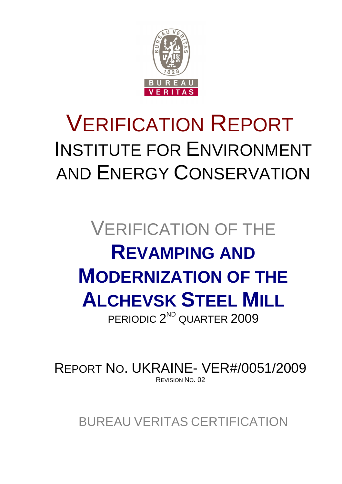

# VERIFICATION REPORT INSTITUTE FOR ENVIRONMENT AND ENERGY CONSERVATION

# VERIFICATION OF THE **REVAMPING AND MODERNIZATION OF THE ALCHEVSK STEEL MILL** PERIODIC 2<sup>ND</sup> QUARTER 2009

REPORT NO. UKRAINE- VER#/0051/2009 REVISION NO. 02

BUREAU VERITAS CERTIFICATION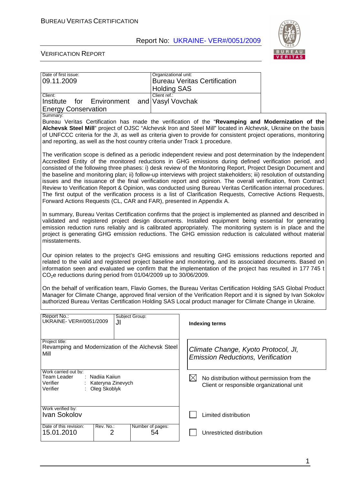

#### VERIFICATION REPORT

| Date of first issue:<br>09.11.2009                                                                                                                                                                                                                                                                                                                                                                                                                                                                                                                                                                                                                                                                                                                                                                                                                                                           |                                                                                                                                                                                                                                                                                                                                             |                  | Organizational unit:<br><b>Holding SAS</b> |                                                                                 | <b>Bureau Veritas Certification</b> |                                             |  |
|----------------------------------------------------------------------------------------------------------------------------------------------------------------------------------------------------------------------------------------------------------------------------------------------------------------------------------------------------------------------------------------------------------------------------------------------------------------------------------------------------------------------------------------------------------------------------------------------------------------------------------------------------------------------------------------------------------------------------------------------------------------------------------------------------------------------------------------------------------------------------------------------|---------------------------------------------------------------------------------------------------------------------------------------------------------------------------------------------------------------------------------------------------------------------------------------------------------------------------------------------|------------------|--------------------------------------------|---------------------------------------------------------------------------------|-------------------------------------|---------------------------------------------|--|
| Client:<br>Institute<br>for                                                                                                                                                                                                                                                                                                                                                                                                                                                                                                                                                                                                                                                                                                                                                                                                                                                                  | Environment                                                                                                                                                                                                                                                                                                                                 |                  | Client ref.:<br>and Vasyl Vovchak          |                                                                                 |                                     |                                             |  |
| <b>Energy Conservation</b><br>Summary:<br>Bureau Veritas Certification has made the verification of the "Revamping and Modernization of the<br>Alchevsk Steel Mill" project of OJSC "Alchevsk Iron and Steel Mill" located in Alchevsk, Ukraine on the basis<br>of UNFCCC criteria for the JI, as well as criteria given to provide for consistent project operations, monitoring<br>and reporting, as well as the host country criteria under Track 1 procedure.                                                                                                                                                                                                                                                                                                                                                                                                                            |                                                                                                                                                                                                                                                                                                                                             |                  |                                            |                                                                                 |                                     |                                             |  |
| The verification scope is defined as a periodic independent review and post determination by the Independent<br>Accredited Entity of the monitored reductions in GHG emissions during defined verification period, and<br>consisted of the following three phases: i) desk review of the Monitoring Report, Project Design Document and<br>the baseline and monitoring plan; ii) follow-up interviews with project stakeholders; iii) resolution of outstanding<br>issues and the issuance of the final verification report and opinion. The overall verification, from Contract<br>Review to Verification Report & Opinion, was conducted using Bureau Veritas Certification internal procedures.<br>The first output of the verification process is a list of Clarification Requests, Corrective Actions Requests,<br>Forward Actions Requests (CL, CAR and FAR), presented in Appendix A. |                                                                                                                                                                                                                                                                                                                                             |                  |                                            |                                                                                 |                                     |                                             |  |
| In summary, Bureau Veritas Certification confirms that the project is implemented as planned and described in<br>validated and registered project design documents. Installed equipment being essential for generating<br>emission reduction runs reliably and is calibrated appropriately. The monitoring system is in place and the<br>project is generating GHG emission reductions. The GHG emission reduction is calculated without material<br>misstatements.                                                                                                                                                                                                                                                                                                                                                                                                                          |                                                                                                                                                                                                                                                                                                                                             |                  |                                            |                                                                                 |                                     |                                             |  |
| Our opinion relates to the project's GHG emissions and resulting GHG emissions reductions reported and<br>related to the valid and registered project baseline and monitoring, and its associated documents. Based on<br>information seen and evaluated we confirm that the implementation of the project has resulted in 177 745 t<br>$CO2e$ reductions during period from 01/04/2009 up to 30/06/2009.                                                                                                                                                                                                                                                                                                                                                                                                                                                                                     |                                                                                                                                                                                                                                                                                                                                             |                  |                                            |                                                                                 |                                     |                                             |  |
|                                                                                                                                                                                                                                                                                                                                                                                                                                                                                                                                                                                                                                                                                                                                                                                                                                                                                              | On the behalf of verification team, Flavio Gomes, the Bureau Veritas Certification Holding SAS Global Product<br>Manager for Climate Change, approved final version of the Verification Report and it is signed by Ivan Sokolov<br>authorized Bureau Veritas Certification Holding SAS Local product manager for Climate Change in Ukraine. |                  |                                            |                                                                                 |                                     |                                             |  |
| Report No.:<br>UKRAINE- VER#/0051/2009                                                                                                                                                                                                                                                                                                                                                                                                                                                                                                                                                                                                                                                                                                                                                                                                                                                       | JI                                                                                                                                                                                                                                                                                                                                          | Subject Group:   |                                            |                                                                                 | <b>Indexing terms</b>               |                                             |  |
| Project title:<br>Revamping and Modernization of the Alchevsk Steel<br>Mill                                                                                                                                                                                                                                                                                                                                                                                                                                                                                                                                                                                                                                                                                                                                                                                                                  |                                                                                                                                                                                                                                                                                                                                             |                  |                                            | Climate Change, Kyoto Protocol, JI,<br><b>Emission Reductions, Verification</b> |                                     |                                             |  |
| Work carried out by:<br>Team Leader<br>: Nadiia Kaiiun<br>: Kateryna Zinevych<br>Verifier<br>: Oleg Skoblyk<br>Verifier                                                                                                                                                                                                                                                                                                                                                                                                                                                                                                                                                                                                                                                                                                                                                                      |                                                                                                                                                                                                                                                                                                                                             |                  |                                            | $\boxtimes$<br>Client or responsible organizational unit                        |                                     | No distribution without permission from the |  |
| Work verified by:<br><b>Ivan Sokolov</b>                                                                                                                                                                                                                                                                                                                                                                                                                                                                                                                                                                                                                                                                                                                                                                                                                                                     |                                                                                                                                                                                                                                                                                                                                             |                  |                                            | Limited distribution                                                            |                                     |                                             |  |
| Date of this revision:<br>15.01.2010                                                                                                                                                                                                                                                                                                                                                                                                                                                                                                                                                                                                                                                                                                                                                                                                                                                         | Rev. No.:<br>2                                                                                                                                                                                                                                                                                                                              | Number of pages: | 54                                         |                                                                                 | Unrestricted distribution           |                                             |  |

1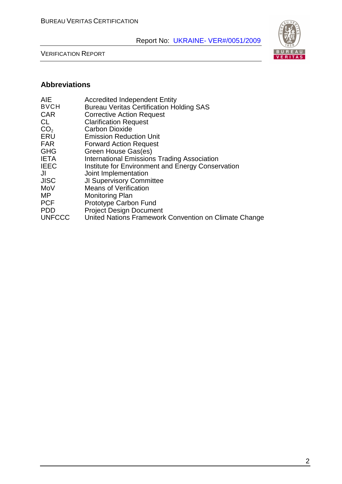

VERIFICATION REPORT

### **Abbreviations**

| AIE             | <b>Accredited Independent Entity</b>                  |
|-----------------|-------------------------------------------------------|
| <b>BVCH</b>     | <b>Bureau Veritas Certification Holding SAS</b>       |
| <b>CAR</b>      | <b>Corrective Action Request</b>                      |
| CL              | <b>Clarification Request</b>                          |
| CO <sub>2</sub> | <b>Carbon Dioxide</b>                                 |
| <b>ERU</b>      | <b>Emission Reduction Unit</b>                        |
| <b>FAR</b>      | <b>Forward Action Request</b>                         |
| <b>GHG</b>      | Green House Gas(es)                                   |
| <b>IETA</b>     | <b>International Emissions Trading Association</b>    |
| <b>IEEC</b>     | Institute for Environment and Energy Conservation     |
| JI              | Joint Implementation                                  |
| <b>JISC</b>     | <b>JI Supervisory Committee</b>                       |
| MoV             | <b>Means of Verification</b>                          |
| МP              | Monitoring Plan                                       |
| <b>PCF</b>      | <b>Prototype Carbon Fund</b>                          |
| <b>PDD</b>      | <b>Project Design Document</b>                        |
| <b>UNFCCC</b>   | United Nations Framework Convention on Climate Change |
|                 |                                                       |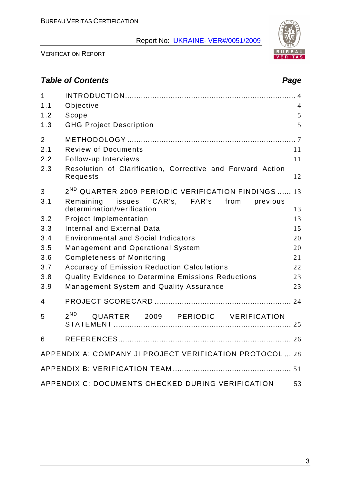

#### VERIFICATION REPORT

# **Table of Contents Page 2018**

| $\mathbf{1}$<br>1.1<br>1.2<br>1.3 | Objective<br>Scope<br><b>GHG Project Description</b>                               | $\overline{4}$<br>5<br>5 |
|-----------------------------------|------------------------------------------------------------------------------------|--------------------------|
| $\overline{2}$                    |                                                                                    |                          |
| 2.1<br>2.2                        | <b>Review of Documents</b>                                                         | 11                       |
| 2.3                               | Follow-up Interviews<br>Resolution of Clarification, Corrective and Forward Action | 11                       |
|                                   | Requests                                                                           | 12                       |
| 3                                 | 2 <sup>ND</sup> QUARTER 2009 PERIODIC VERIFICATION FINDINGS  13                    |                          |
| 3.1                               | CAR's, FAR's from<br>Remaining<br>issues<br>previous                               |                          |
|                                   | determination/verification                                                         | 13                       |
| 3.2                               | <b>Project Implementation</b>                                                      | 13                       |
| 3.3                               | <b>Internal and External Data</b>                                                  | 15                       |
| 3.4                               | <b>Environmental and Social Indicators</b>                                         | 20                       |
| 3.5                               | Management and Operational System                                                  | 20                       |
| 3.6                               | <b>Completeness of Monitoring</b>                                                  | 21                       |
| 3.7                               | <b>Accuracy of Emission Reduction Calculations</b>                                 | 22                       |
| 3.8                               | Quality Evidence to Determine Emissions Reductions                                 | 23                       |
| 3.9                               | Management System and Quality Assurance                                            | 23                       |
| $\overline{4}$                    |                                                                                    |                          |
| 5                                 | $2^{ND}$<br>QUARTER 2009 PERIODIC VERIFICATION                                     |                          |
| 6                                 |                                                                                    |                          |
|                                   | APPENDIX A: COMPANY JI PROJECT VERIFICATION PROTOCOL  28                           |                          |
|                                   |                                                                                    |                          |
|                                   | APPENDIX C: DOCUMENTS CHECKED DURING VERIFICATION                                  | 53                       |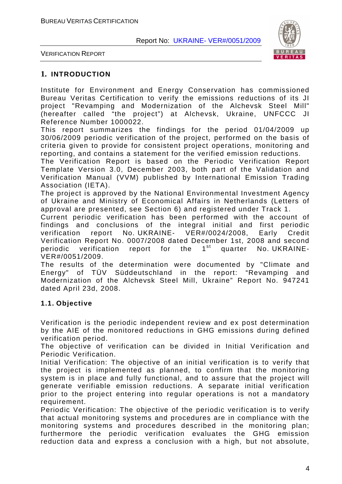

VERIFICATION REPORT

#### **1. INTRODUCTION**

Institute for Environment and Energy Conservation has commissioned Bureau Veritas Certification to verify the emissions reductions of its JI project "Revamping and Modernization of the Alchevsk Steel Mill" (hereafter called "the project") at Alchevsk, Ukraine, UNFCCC JI Reference Number 1000022.

This report summarizes the findings for the period 01/04/2009 up 30/06/2009 periodic verification of the project, performed on the basis of criteria given to provide for consistent project operations, monitoring and reporting, and contains a statement for the verified emission reductions.

The Verification Report is based on the Periodic Verification Report Template Version 3.0, December 2003, both part of the Validation and Verification Manual (VVM) published by International Emission Trading Association (IETA).

The project is approved by the National Environmental Investment Agency of Ukraine and Ministry of Economical Affairs in Netherlands (Letters of approval are presented, see Section 6) and registered under Track 1.

Current periodic verification has been performed with the account of findings and conclusions of the integral initial and first periodic verification report No. UKRAINE- VER#/0024/2008, Early Credit Verification Report No. 0007/2008 dated December 1st, 2008 and second periodic verification report for the 1<sup>st</sup> quarter No. UKRAINEperiodic verification report for the 1<sup>st</sup> quarter No. UKRAINE-VER#/0051/2009.

The results of the determination were documented by "Climate and Energy" of TÜV Süddeutschland in the report: "Revamping and Modernization of the Alchevsk Steel Mill, Ukraine" Report No. 947241 dated April 23d, 2008.

#### **1.1. Objective**

Verification is the periodic independent review and ex post determination by the AIE of the monitored reductions in GHG emissions during defined verification period.

The objective of verification can be divided in Initial Verification and Periodic Verification.

Initial Verification: The objective of an initial verification is to verify that the project is implemented as planned, to confirm that the monitoring system is in place and fully functional, and to assure that the project will generate verifiable emission reductions. A separate initial verification prior to the project entering into regular operations is not a mandatory requirement.

Periodic Verification: The objective of the periodic verification is to verify that actual monitoring systems and procedures are in compliance with the monitoring systems and procedures described in the monitoring plan; furthermore the periodic verification evaluates the GHG emission reduction data and express a conclusion with a high, but not absolute,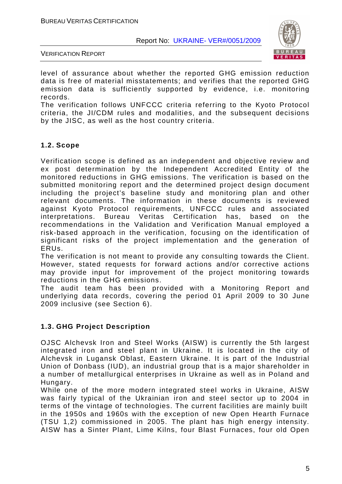

VERIFICATION REPORT

level of assurance about whether the reported GHG emission reduction data is free of material misstatements; and verifies that the reported GHG emission data is sufficiently supported by evidence, i.e. monitoring records.

The verification follows UNFCCC criteria referring to the Kyoto Protocol criteria, the JI/CDM rules and modalities, and the subsequent decisions by the JISC, as well as the host country criteria.

#### **1.2. Scope**

Verification scope is defined as an independent and objective review and ex post determination by the Independent Accredited Entity of the monitored reductions in GHG emissions. The verification is based on the submitted monitoring report and the determined project design document including the project's baseline study and monitoring plan and other relevant documents. The information in these documents is reviewed against Kyoto Protocol requirements, UNFCCC rules and associated interpretations. Bureau Veritas Certification has, based on the recommendations in the Validation and Verification Manual employed a risk-based approach in the verification, focusing on the identification of significant risks of the project implementation and the generation of ERUs.

The verification is not meant to provide any consulting towards the Client. However, stated requests for forward actions and/or corrective actions may provide input for improvement of the project monitoring towards reductions in the GHG emissions.

The audit team has been provided with a Monitoring Report and underlying data records, covering the period 01 April 2009 to 30 June 2009 inclusive (see Section 6).

#### **1.3. GHG Project Description**

OJSC Alchevsk Iron and Steel Works (AISW) is currently the 5th largest integrated iron and steel plant in Ukraine. It is located in the city of Alchevsk in Lugansk Oblast, Eastern Ukraine. It is part of the Industrial Union of Donbass (IUD), an industrial group that is a major shareholder in a number of metallurgical enterprises in Ukraine as well as in Poland and Hungary.

While one of the more modern integrated steel works in Ukraine, AISW was fairly typical of the Ukrainian iron and steel sector up to 2004 in terms of the vintage of technologies. The current facilities are mainly built in the 1950s and 1960s with the exception of new Open Hearth Furnace (TSU 1,2) commissioned in 2005. The plant has high energy intensity. AISW has a Sinter Plant, Lime Kilns, four Blast Furnaces, four old Open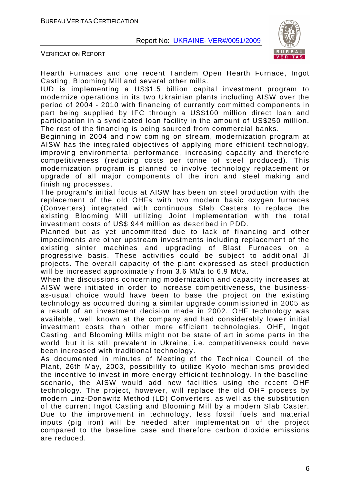

VERIFICATION REPORT

Hearth Furnaces and one recent Tandem Open Hearth Furnace, Ingot Casting, Blooming Mill and several other mills.

IUD is implementing a US\$1.5 billion capital investment program to modernize operations in its two Ukrainian plants including AISW over the period of 2004 - 2010 with financing of currently committed components in part being supplied by IFC through a US\$100 million direct loan and participation in a syndicated loan facility in the amount of US\$250 million. The rest of the financing is being sourced from commercial banks.

Beginning in 2004 and now coming on stream, modernization program at AISW has the integrated objectives of applying more efficient technology, improving environmental performance, increasing capacity and therefore competitiveness (reducing costs per tonne of steel produced). This modernization program is planned to involve technology replacement or upgrade of all major components of the iron and steel making and finishing processes.

The program's initial focus at AISW has been on steel production with the replacement of the old OHFs with two modern basic oxygen furnaces (Converters) integrated with continuous Slab Casters to replace the existing Blooming Mill utilizing Joint Implementation with the total investment costs of US\$ 944 million as described in PDD.

Planned but as yet uncommitted due to lack of financing and other impediments are other upstream investments including replacement of the existing sinter machines and upgrading of Blast Furnaces on a progressive basis. These activities could be subject to additional JI projects. The overall capacity of the plant expressed as steel production will be increased approximately from 3.6 Mt/a to 6.9 Mt/a.

When the discussions concerning modernization and capacity increases at AISW were initiated in order to increase competitiveness, the businessas-usual choice would have been to base the project on the existing technology as occurred during a similar upgrade commissioned in 2005 as a result of an investment decision made in 2002. OHF technology was available, well known at the company and had considerably lower initial investment costs than other more efficient technologies. OHF, Ingot Casting, and Blooming Mills might not be state of art in some parts in the world, but it is still prevalent in Ukraine, i.e. competitiveness could have been increased with traditional technology.

As documented in minutes of Meeting of the Technical Council of the Plant, 26th May, 2003, possibility to utilize Kyoto mechanisms provided the incentive to invest in more energy efficient technology. In the baseline scenario, the AISW would add new facilities using the recent OHF technology. The project, however, will replace the old OHF process by modern Linz-Donawitz Method (LD) Converters, as well as the substitution of the current Ingot Casting and Blooming Mill by a modern Slab Caster. Due to the improvement in technology, less fossil fuels and material inputs (pig iron) will be needed after implementation of the project compared to the baseline case and therefore carbon dioxide emissions are reduced.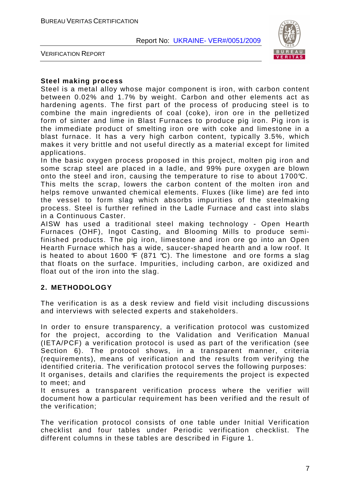

VERIFICATION REPORT

#### **Steel making process**

Steel is a metal alloy whose major component is iron, with carbon content between 0.02% and 1.7% by weight. Carbon and other elements act as hardening agents. The first part of the process of producing steel is to combine the main ingredients of coal (coke), iron ore in the pelletized form of sinter and lime in Blast Furnaces to produce pig iron. Pig iron is the immediate product of smelting iron ore with coke and limestone in a blast furnace. It has a very high carbon content, typically 3.5%, which makes it very brittle and not useful directly as a material except for limited applications.

In the basic oxygen process proposed in this project, molten pig iron and some scrap steel are placed in a ladle, and 99% pure oxygen are blown onto the steel and iron, causing the temperature to rise to about 1700°C. This melts the scrap, lowers the carbon content of the molten iron and helps remove unwanted chemical elements. Fluxes (like lime) are fed into the vessel to form slag which absorbs impurities of the steelmaking process. Steel is further refined in the Ladle Furnace and cast into slabs in a Continuous Caster.

AISW has used a traditional steel making technology - Open Hearth Furnaces (OHF), Ingot Casting, and Blooming Mills to produce semifinished products. The pig iron, limestone and iron ore go into an Open Hearth Furnace which has a wide, saucer-shaped hearth and a low roof. It is heated to about 1600  $\mathcal{F}$  (871 °C). The limestone and ore forms a slag that floats on the surface. Impurities, including carbon, are oxidized and float out of the iron into the slag.

#### **2. METHODOLOGY**

The verification is as a desk review and field visit including discussions and interviews with selected experts and stakeholders.

In order to ensure transparency, a verification protocol was customized for the project, according to the Validation and Verification Manual (IETA/PCF) a verification protocol is used as part of the verification (see Section 6). The protocol shows, in a transparent manner, criteria (requirements), means of verification and the results from verifying the identified criteria. The verification protocol serves the following purposes: It organises, details and clarifies the requirements the project is expected to meet; and

It ensures a transparent verification process where the verifier will document how a particular requirement has been verified and the result of the verification;

The verification protocol consists of one table under Initial Verification checklist and four tables under Periodic verification checklist. The different columns in these tables are described in Figure 1.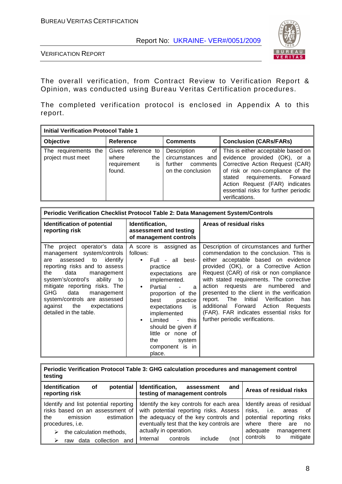

VERIFICATION REPORT

The overall verification, from Contract Review to Verification Report & Opinion, was conducted using Bureau Veritas Certification procedures.

The completed verification protocol is enclosed in Appendix A to this report.

| <b>Initial Verification Protocol Table 1</b> |                                                                   |                                                                                    |                                                                                                                                                                                                                                                                          |  |  |
|----------------------------------------------|-------------------------------------------------------------------|------------------------------------------------------------------------------------|--------------------------------------------------------------------------------------------------------------------------------------------------------------------------------------------------------------------------------------------------------------------------|--|--|
| Objective                                    | <b>Reference</b>                                                  | <b>Comments</b>                                                                    | <b>Conclusion (CARs/FARs)</b>                                                                                                                                                                                                                                            |  |  |
| The requirements the<br>project must meet    | Gives reference to<br>where<br>the<br>requirement<br>is<br>found. | Description<br>οf<br>circumstances and<br>further<br>comments<br>on the conclusion | This is either acceptable based on<br>evidence provided (OK),<br>or a<br>Corrective Action Request (CAR)<br>of risk or non-compliance of the<br>stated requirements. Forward<br>Action Request (FAR) indicates<br>essential risks for further periodic<br>verifications. |  |  |

| Periodic Verification Checklist Protocol Table 2: Data Management System/Controls                                                                                                                                                                                                                                                                    |                                                                                                                                                                                                                                                                                                                                                                         |                                                                                                                                                                                                                                                                                                                                                                                                                                                                                                                     |  |  |  |
|------------------------------------------------------------------------------------------------------------------------------------------------------------------------------------------------------------------------------------------------------------------------------------------------------------------------------------------------------|-------------------------------------------------------------------------------------------------------------------------------------------------------------------------------------------------------------------------------------------------------------------------------------------------------------------------------------------------------------------------|---------------------------------------------------------------------------------------------------------------------------------------------------------------------------------------------------------------------------------------------------------------------------------------------------------------------------------------------------------------------------------------------------------------------------------------------------------------------------------------------------------------------|--|--|--|
| Identification of potential<br>reporting risk                                                                                                                                                                                                                                                                                                        | Identification,<br>assessment and testing<br>of management controls                                                                                                                                                                                                                                                                                                     | Areas of residual risks                                                                                                                                                                                                                                                                                                                                                                                                                                                                                             |  |  |  |
| The project operator's data<br>management system/controls<br>assessed to<br>identify<br>are<br>reporting risks and to assess<br>data<br>the<br>management<br>system's/control's ability to<br>mitigate reporting risks. The<br>GHG<br>data<br>management<br>system/controls are assessed<br>the<br>against<br>expectations<br>detailed in the table. | A score is assigned as<br>follows:<br>Full - all best-<br>$\bullet$<br>practice<br>expectations are<br>implemented.<br>Partial<br>$\bullet$<br>a<br>proportion of the<br>best<br>practice<br>is<br>expectations<br>implemented<br>Limited<br>this<br>$\mathbf{r}$<br>$\bullet$<br>should be given if<br>little or none of<br>the<br>system<br>component is in<br>place. | Description of circumstances and further<br>commendation to the conclusion. This is<br>either acceptable based on evidence<br>provided (OK), or a Corrective Action<br>Request (CAR) of risk or non compliance<br>with stated requirements. The corrective<br>action requests are numbered and<br>presented to the client in the verification<br>report. The<br>Initial<br>Verification<br>has<br>additional Forward Action Requests<br>(FAR). FAR indicates essential risks for<br>further periodic verifications. |  |  |  |

| Periodic Verification Protocol Table 3: GHG calculation procedures and management control<br>testing                                                                                                  |                                                                                                                                                                                                                                             |                                                                                                                                                                              |  |  |
|-------------------------------------------------------------------------------------------------------------------------------------------------------------------------------------------------------|---------------------------------------------------------------------------------------------------------------------------------------------------------------------------------------------------------------------------------------------|------------------------------------------------------------------------------------------------------------------------------------------------------------------------------|--|--|
| <b>Identification</b><br>potential<br>οf<br>reporting risk                                                                                                                                            | Identification,<br>assessment<br>and<br>testing of management controls                                                                                                                                                                      | Areas of residual risks                                                                                                                                                      |  |  |
| Identify and list potential reporting<br>risks based on an assessment of<br>emission<br>estimation<br>the<br>procedures, <i>i.e.</i><br>the calculation methods,<br>➤<br>raw data collection and<br>➤ | Identify the key controls for each area<br>with potential reporting risks. Assess<br>the adequacy of the key controls and<br>eventually test that the key controls are<br>actually in operation.<br>include<br>Internal<br>controls<br>(not | Identify areas of residual<br>risks, i.e. areas<br>of<br>potential reporting risks<br>where<br>there<br>are<br>no no<br>adequate<br>management<br>mitigate<br>controls<br>to |  |  |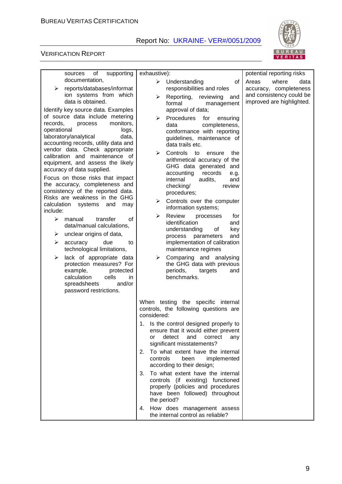

#### VERIFICATION REPORT

| of<br>supporting<br>sources                                                                                                                                           | exhaustive):                                                                                                                                                                | potential reporting risks                                                    |
|-----------------------------------------------------------------------------------------------------------------------------------------------------------------------|-----------------------------------------------------------------------------------------------------------------------------------------------------------------------------|------------------------------------------------------------------------------|
| documentation,<br>reports/databases/informat<br>➤<br>ion systems from which                                                                                           | of<br>$\blacktriangleright$<br>Understanding<br>responsibilities and roles                                                                                                  | where<br>Areas<br>data<br>accuracy, completeness<br>and consistency could be |
| data is obtained.<br>Identify key source data. Examples                                                                                                               | Reporting,<br>reviewing<br>➤<br>and<br>formal<br>management<br>approval of data;                                                                                            | improved are highlighted.                                                    |
| of source data include metering<br>records,<br>monitors,<br>process<br>operational<br>logs,<br>laboratory/analytical<br>data,<br>accounting records, utility data and | Procedures<br>➤<br>for<br>ensuring<br>completeness,<br>data<br>conformance with reporting<br>guidelines, maintenance of<br>data trails etc.                                 |                                                                              |
| vendor data. Check appropriate<br>calibration and maintenance of<br>equipment, and assess the likely<br>accuracy of data supplied.                                    | Controls to<br>➤<br>the<br>ensure<br>arithmetical accuracy of the<br>GHG data generated and<br>accounting<br>records<br>e.g.                                                |                                                                              |
| Focus on those risks that impact<br>the accuracy, completeness and<br>consistency of the reported data.<br>Risks are weakness in the GHG                              | internal<br>audits,<br>and<br>checking/<br>review<br>procedures;                                                                                                            |                                                                              |
| calculation<br>systems<br>and<br>may<br>include:                                                                                                                      | Controls over the computer<br>➤<br>information systems;                                                                                                                     |                                                                              |
| transfer<br>of<br>➤<br>manual<br>data/manual calculations,<br>unclear origins of data,<br>➤<br>due<br>⋗<br>accuracy<br>to<br>technological limitations,               | Review<br>➤<br>processes<br>for<br>identification<br>and<br>understanding<br>key<br>οf<br>process parameters<br>and<br>implementation of calibration<br>maintenance regimes |                                                                              |
| lack of appropriate data<br>➤<br>protection measures? For<br>example,<br>protected<br>calculation<br>cells<br>in.<br>and/or<br>spreadsheets<br>password restrictions. | Comparing and analysing<br>➤<br>the GHG data with previous<br>periods,<br>targets<br>and<br>benchmarks.                                                                     |                                                                              |
|                                                                                                                                                                       | When testing the specific internal<br>controls, the following questions are<br>considered:                                                                                  |                                                                              |
|                                                                                                                                                                       | 1. Is the control designed properly to<br>ensure that it would either prevent<br>detect<br>and<br>or<br>correct<br>any<br>significant misstatements?                        |                                                                              |
|                                                                                                                                                                       | To what extent have the internal<br>2.<br>controls<br>been<br>implemented<br>according to their design;                                                                     |                                                                              |
|                                                                                                                                                                       | To what extent have the internal<br>3.<br>controls (if existing) functioned<br>properly (policies and procedures<br>have been followed) throughout<br>the period?           |                                                                              |
|                                                                                                                                                                       | 4. How does management assess<br>the internal control as reliable?                                                                                                          |                                                                              |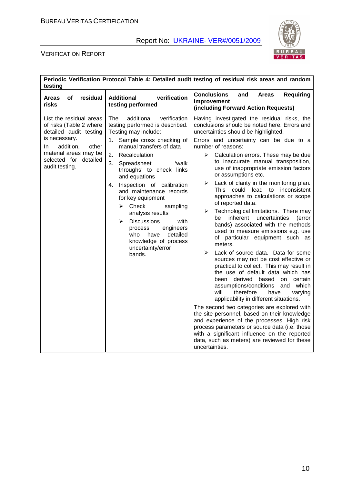

#### VERIFICATION REPORT

| Periodic Verification Protocol Table 4: Detailed audit testing of residual risk areas and random<br>testing                                                                                   |                                                                                                                                                                                                                                                                                                                                                                                                                                                                                                                                            |                                                                                                                                                                                                                                                                                                                                                                                                                                                                                                                                                                                                                                                                                                                                                                                                                                                                                                                                                                                                                                                                                                                                      |  |  |
|-----------------------------------------------------------------------------------------------------------------------------------------------------------------------------------------------|--------------------------------------------------------------------------------------------------------------------------------------------------------------------------------------------------------------------------------------------------------------------------------------------------------------------------------------------------------------------------------------------------------------------------------------------------------------------------------------------------------------------------------------------|--------------------------------------------------------------------------------------------------------------------------------------------------------------------------------------------------------------------------------------------------------------------------------------------------------------------------------------------------------------------------------------------------------------------------------------------------------------------------------------------------------------------------------------------------------------------------------------------------------------------------------------------------------------------------------------------------------------------------------------------------------------------------------------------------------------------------------------------------------------------------------------------------------------------------------------------------------------------------------------------------------------------------------------------------------------------------------------------------------------------------------------|--|--|
| residual<br>οf<br>Areas<br>risks                                                                                                                                                              | <b>Additional</b><br>verification<br>testing performed                                                                                                                                                                                                                                                                                                                                                                                                                                                                                     | <b>Requiring</b><br><b>Conclusions</b><br><b>Areas</b><br>and<br>Improvement<br>(including Forward Action Requests)                                                                                                                                                                                                                                                                                                                                                                                                                                                                                                                                                                                                                                                                                                                                                                                                                                                                                                                                                                                                                  |  |  |
| List the residual areas<br>of risks (Table 2 where<br>detailed audit testing<br>is necessary.<br>addition,<br>other<br>In<br>material areas may be<br>selected for detailed<br>audit testing. | verification<br>The<br>additional<br>testing performed is described.<br>Testing may include:<br>1.<br>Sample cross checking of<br>manual transfers of data<br>Recalculation<br>2.<br>3.<br>Spreadsheet<br>'walk<br>throughs' to check links<br>and equations<br>Inspection of calibration<br>4.<br>and maintenance records<br>for key equipment<br>Check<br>sampling<br>⋗<br>analysis results<br>⋗<br><b>Discussions</b><br>with<br>engineers<br>process<br>detailed<br>who<br>have<br>knowledge of process<br>uncertainty/error<br>bands. | Having investigated the residual risks, the<br>conclusions should be noted here. Errors and<br>uncertainties should be highlighted.<br>Errors and uncertainty can be due to a<br>number of reasons:<br>$\blacktriangleright$<br>Calculation errors. These may be due<br>to inaccurate manual transposition,<br>use of inappropriate emission factors<br>or assumptions etc.<br>➤<br>Lack of clarity in the monitoring plan.<br>This could lead to inconsistent<br>approaches to calculations or scope<br>of reported data.<br>Technological limitations. There may<br>➤<br>inherent uncertainties<br>be<br>(error<br>bands) associated with the methods<br>used to measure emissions e.g. use<br>of particular equipment such as<br>meters.<br>Lack of source data. Data for some<br>➤<br>sources may not be cost effective or<br>practical to collect. This may result in<br>the use of default data which has<br>been derived<br>based<br>certain<br>on<br>assumptions/conditions<br>and<br>which<br>will<br>therefore<br>have<br>varying<br>applicability in different situations.<br>The second two categories are explored with |  |  |
|                                                                                                                                                                                               |                                                                                                                                                                                                                                                                                                                                                                                                                                                                                                                                            | the site personnel, based on their knowledge<br>and experience of the processes. High risk<br>process parameters or source data (i.e. those<br>with a significant influence on the reported<br>data, such as meters) are reviewed for these<br>uncertainties.                                                                                                                                                                                                                                                                                                                                                                                                                                                                                                                                                                                                                                                                                                                                                                                                                                                                        |  |  |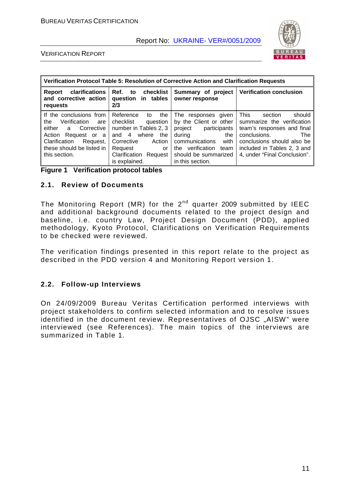

VERIFICATION REPORT

| Verification Protocol Table 5: Resolution of Corrective Action and Clarification Requests                                                                                                            |                                                                                                                                                                                          |                                                                                                                                                                                          |                                                                                                                                                                                                                         |  |  |
|------------------------------------------------------------------------------------------------------------------------------------------------------------------------------------------------------|------------------------------------------------------------------------------------------------------------------------------------------------------------------------------------------|------------------------------------------------------------------------------------------------------------------------------------------------------------------------------------------|-------------------------------------------------------------------------------------------------------------------------------------------------------------------------------------------------------------------------|--|--|
| clarifications<br>Report<br>and corrective action<br>requests                                                                                                                                        | Ref.<br>to checklist<br>question in tables<br>2/3                                                                                                                                        | Summary of project<br>owner response                                                                                                                                                     | <b>Verification conclusion</b>                                                                                                                                                                                          |  |  |
| If the conclusions from<br>Verification<br>the<br>are<br>either<br>Corrective<br>$\overline{a}$<br>Action<br>Request or a<br>Clarification<br>Request,<br>these should be listed in<br>this section. | Reference<br>the<br>to<br>checklist<br>question<br>number in Tables 2, 3<br>and 4 where<br>the<br>Corrective<br>Action<br>Request<br>or<br><b>Clarification Request</b><br>is explained. | The responses given<br>by the Client or other<br>project participants<br>during<br>the<br>communications<br>with<br>verification team<br>the<br>should be summarized<br>in this section. | <b>This</b><br>should<br>section<br>summarize the verification<br>team's responses and final<br>conclusions.<br><b>The</b><br>conclusions should also be<br>included in Tables 2, 3 and<br>4, under "Final Conclusion". |  |  |

**Figure 1 Verification protocol tables** 

#### **2.1. Review of Documents**

The Monitoring Report (MR) for the  $2^{nd}$  quarter 2009 submitted by IEEC and additional background documents related to the project design and baseline, i.e. country Law, Project Design Document (PDD), applied methodology, Kyoto Protocol, Clarifications on Verification Requirements to be checked were reviewed.

The verification findings presented in this report relate to the project as described in the PDD version 4 and Monitoring Report version 1.

#### **2.2. Follow-up Interviews**

On 24/09/2009 Bureau Veritas Certification performed interviews with project stakeholders to confirm selected information and to resolve issues identified in the document review. Representatives of OJSC "AISW" were interviewed (see References). The main topics of the interviews are summarized in Table 1.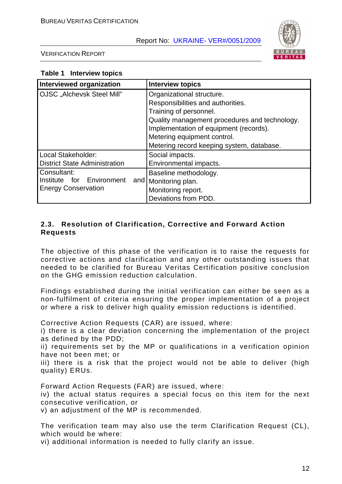

VERIFICATION REPORT

|  |  | Table 1 Interview topics |
|--|--|--------------------------|
|--|--|--------------------------|

| Interviewed organization             | <b>Interview topics</b>                       |  |
|--------------------------------------|-----------------------------------------------|--|
| OJSC "Alchevsk Steel Mill"           | Organizational structure.                     |  |
|                                      | Responsibilities and authorities.             |  |
|                                      | Training of personnel.                        |  |
|                                      | Quality management procedures and technology. |  |
|                                      | Implementation of equipment (records).        |  |
|                                      | Metering equipment control.                   |  |
|                                      | Metering record keeping system, database.     |  |
| Local Stakeholder:                   | Social impacts.                               |  |
| <b>District State Administration</b> | Environmental impacts.                        |  |
| Consultant:                          | Baseline methodology.                         |  |
| Environment<br>Institute for<br>and  | Monitoring plan.                              |  |
| <b>Energy Conservation</b>           | Monitoring report.                            |  |
|                                      | Deviations from PDD.                          |  |

#### **2.3. Resolution of Clarification, Corrective and Forward Action Requests**

The objective of this phase of the verification is to raise the requests for corrective actions and clarification and any other outstanding issues that needed to be clarified for Bureau Veritas Certification positive conclusion on the GHG emission reduction calculation.

Findings established during the initial verification can either be seen as a non-fulfilment of criteria ensuring the proper implementation of a project or where a risk to deliver high quality emission reductions is identified.

Corrective Action Requests (CAR) are issued, where:

i) there is a clear deviation concerning the implementation of the project as defined by the PDD;

ii) requirements set by the MP or qualifications in a verification opinion have not been met; or

iii) there is a risk that the project would not be able to deliver (high quality) ERUs.

Forward Action Requests (FAR) are issued, where:

iv) the actual status requires a special focus on this item for the next consecutive verification, or

v) an adjustment of the MP is recommended.

The verification team may also use the term Clarification Request (CL), which would be where:

vi) additional information is needed to fully clarify an issue.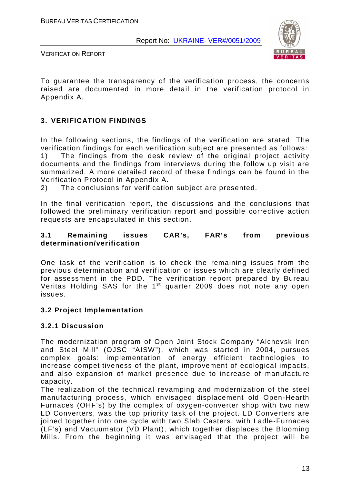

VERIFICATION REPORT

To guarantee the transparency of the verification process, the concerns raised are documented in more detail in the verification protocol in Appendix A.

### **3. VERIFICATION FINDINGS**

In the following sections, the findings of the verification are stated. The verification findings for each verification subject are presented as follows: 1) The findings from the desk review of the original project activity documents and the findings from interviews during the follow up visit are summarized. A more detailed record of these findings can be found in the Verification Protocol in Appendix A.

2) The conclusions for verification subject are presented.

In the final verification report, the discussions and the conclusions that followed the preliminary verification report and possible corrective action requests are encapsulated in this section.

#### **3.1 Remaining issues CAR's, FAR's from previous determination/verification**

One task of the verification is to check the remaining issues from the previous determination and verification or issues which are clearly defined for assessment in the PDD. The verification report prepared by Bureau Veritas Holding SAS for the 1<sup>st</sup> quarter 2009 does not note any open issues.

#### **3.2 Project Implementation**

#### **3.2.1 Discussion**

The modernization program of Open Joint Stock Company "Alchevsk Iron and Steel Mill" (OJSC "AISW"), which was started in 2004, pursues complex goals: implementation of energy efficient technologies to increase competitiveness of the plant, improvement of ecological impacts, and also expansion of market presence due to increase of manufacture capacity.

The realization of the technical revamping and modernization of the steel manufacturing process, which envisaged displacement old Open-Hearth Furnaces (OHF's) by the complex of oxygen-converter shop with two new LD Converters, was the top priority task of the project. LD Converters are joined together into one cycle with two Slab Casters, with Ladle-Furnaces (LF's) and Vacuumator (VD Plant), which together displaces the Blooming Mills. From the beginning it was envisaged that the project will be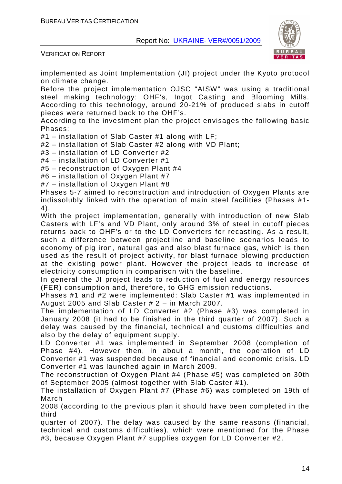

VERIFICATION REPORT

implemented as Joint Implementation (JI) project under the Kyoto protocol on climate change.

Before the project implementation OJSC "AISW" was using a traditional steel making technology: OHF's, Ingot Casting and Blooming Mills. According to this technology, around 20-21% of produced slabs in cutoff pieces were returned back to the OHF's.

According to the investment plan the project envisages the following basic Phases:

#1 – installation of Slab Caster #1 along with LF;

#2 – installation of Slab Caster #2 along with VD Plant;

#3 – installation of LD Converter #2

#4 – installation of LD Converter #1

#5 – reconstruction of Oxygen Plant #4

#6 – installation of Oxygen Plant #7

#7 – installation of Oxygen Plant #8

Phases 5-7 aimed to reconstruction and introduction of Oxygen Plants are indissolubly linked with the operation of main steel facilities (Phases #1- 4).

With the project implementation, generally with introduction of new Slab Casters with LF's and VD Plant, only around 3% of steel in cutoff pieces returns back to OHF's or to the LD Converters for recasting. As a result, such a difference between projectline and baseline scenarios leads to economy of pig iron, natural gas and also blast furnace gas, which is then used as the result of project activity, for blast furnace blowing production at the existing power plant. However the project leads to increase of electricity consumption in comparison with the baseline.

In general the JI project leads to reduction of fuel and energy resources (FER) consumption and, therefore, to GHG emission reductions.

Phases #1 and #2 were implemented: Slab Caster #1 was implemented in August 2005 and Slab Caster # 2 – in March 2007.

The implementation of LD Converter #2 (Phase #3) was completed in January 2008 (it had to be finished in the third quarter of 2007). Such a delay was caused by the financial, technical and customs difficulties and also by the delay of equipment supply.

LD Converter #1 was implemented in September 2008 (completion of Phase #4). However then, in about a month, the operation of LD Converter #1 was suspended because of financial and economic crisis. LD Converter #1 was launched again in March 2009.

The reconstruction of Oxygen Plant #4 (Phase #5) was completed on 30th of September 2005 (almost together with Slab Caster #1).

The installation of Oxygen Plant #7 (Phase #6) was completed on 19th of March

2008 (according to the previous plan it should have been completed in the third

quarter of 2007). The delay was caused by the same reasons (financial, technical and customs difficulties), which were mentioned for the Phase #3, because Oxygen Plant #7 supplies oxygen for LD Converter #2.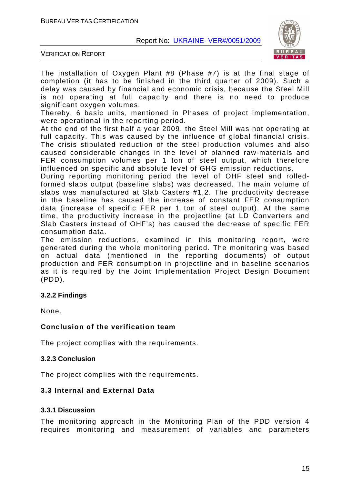

VERIFICATION REPORT

The installation of Oxygen Plant #8 (Phase #7) is at the final stage of completion (it has to be finished in the third quarter of 2009). Such a delay was caused by financial and economic crisis, because the Steel Mill is not operating at full capacity and there is no need to produce significant oxygen volumes.

Thereby, 6 basic units, mentioned in Phases of project implementation, were operational in the reporting period.

At the end of the first half a year 2009, the Steel Mill was not operating at full capacity. This was caused by the influence of global financial crisis. The crisis stipulated reduction of the steel production volumes and also caused considerable changes in the level of planned raw-materials and FER consumption volumes per 1 ton of steel output, which therefore influenced on specific and absolute level of GHG emission reductions.

During reporting monitoring period the level of OHF steel and rolledformed slabs output (baseline slabs) was decreased. The main volume of slabs was manufactured at Slab Casters #1,2. The productivity decrease in the baseline has caused the increase of constant FER consumption data (increase of specific FER per 1 ton of steel output). At the same time, the productivity increase in the projectline (at LD Converters and Slab Casters instead of OHF's) has caused the decrease of specific FER consumption data.

The emission reductions, examined in this monitoring report, were generated during the whole monitoring period. The monitoring was based on actual data (mentioned in the reporting documents) of output production and FER consumption in projectline and in baseline scenarios as it is required by the Joint Implementation Project Design Document (PDD).

#### **3.2.2 Findings**

None.

#### **Conclusion of the verification team**

The project complies with the requirements.

#### **3.2.3 Conclusion**

The project complies with the requirements.

#### **3.3 Internal and External Data**

#### **3.3.1 Discussion**

The monitoring approach in the Monitoring Plan of the PDD version 4 requires monitoring and measurement of variables and parameters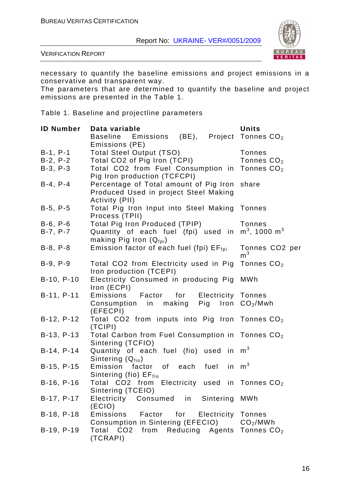

VERIFICATION REPORT

necessary to quantify the baseline emissions and project emissions in a conservative and transparent way.

The parameters that are determined to quantify the baseline and project emissions are presented in the Table 1.

Table 1. Baseline and projectline parameters

| <b>ID Number</b> | Data variable                                                                         | <b>Units</b>                     |
|------------------|---------------------------------------------------------------------------------------|----------------------------------|
|                  | Baseline Emissions (BE), Project Tonnes CO <sub>2</sub>                               |                                  |
|                  | Emissions (PE)                                                                        |                                  |
| $B-1, P-1$       | <b>Total Steel Output (TSO)</b>                                                       | <b>Tonnes</b>                    |
| $B-2, P-2$       | Total CO2 of Pig Iron (TCPI)                                                          | Tonnes $CO2$                     |
| $B-3, P-3$       | Total CO2 from Fuel Consumption in Tonnes CO <sub>2</sub>                             |                                  |
|                  | Pig Iron production (TCFCPI)                                                          |                                  |
| $B-4, P-4$       | Percentage of Total amount of Pig Iron share<br>Produced Used in project Steel Making |                                  |
|                  | Activity (PII)                                                                        |                                  |
| $B-5, P-5$       | Total Pig Iron Input into Steel Making Tonnes                                         |                                  |
|                  | Process (TPII)                                                                        |                                  |
| $B-6, P-6$       | Total Pig Iron Produced (TPIP)                                                        | <b>Tonnes</b>                    |
| $B-7, P-7$       | Quantity of each fuel (fpi) used in                                                   | $m^3$ , 1000 m <sup>3</sup>      |
|                  | making Pig Iron $(Q_{\text{fpi}})$                                                    |                                  |
| $B-8, P-8$       | Emission factor of each fuel (fpi) EF <sub>fpi</sub>                                  | Tonnes CO2 per<br>m <sup>3</sup> |
| $B-9, P-9$       | Total CO2 from Electricity used in Pig                                                | Tonnes $CO2$                     |
|                  | Iron production (TCEPI)                                                               |                                  |
| $B-10, P-10$     | Electricity Consumed in producing Pig                                                 | <b>MWh</b>                       |
|                  | Iron (ECPI)                                                                           |                                  |
| B-11, P-11       | <b>Electricity Tonnes</b><br>Emissions Factor for                                     |                                  |
|                  | Consumption in making Pig Iron CO <sub>2</sub> /Mwh<br>(EFECPI)                       |                                  |
| B-12, P-12       | Total CO2 from inputs into Pig Iron Tonnes $CO2$                                      |                                  |
|                  | (TCIPI)                                                                               |                                  |
| B-13, P-13       | Total Carbon from Fuel Consumption in Tonnes CO <sub>2</sub>                          |                                  |
|                  | Sintering (TCFIO)                                                                     |                                  |
| $B-14, P-14$     | Quantity of each fuel (fio) used in $m3$                                              |                                  |
|                  | Sintering $(Q_{fio})$                                                                 |                                  |
| B-15, P-15       | fuel in $m^3$<br>Emission factor of each                                              |                                  |
|                  | Sintering (fio) EFfio                                                                 |                                  |
| $B-16, P-16$     | Total CO2 from Electricity used in Tonnes CO <sub>2</sub>                             |                                  |
|                  | Sintering (TCEIO)                                                                     |                                  |
| B-17, P-17       | Electricity<br>Consumed in<br>Sintering                                               | <b>MWh</b>                       |
|                  | (ECIO)                                                                                |                                  |
| B-18, P-18       | Emissions<br>Factor for Electricity Tonnes<br>Consumption in Sintering (EFECIO)       | CO <sub>2</sub> /MWh             |
| B-19, P-19       | Total CO2 from<br>Reducing Agents Tonnes CO <sub>2</sub>                              |                                  |
|                  | (TCRAPI)                                                                              |                                  |
|                  |                                                                                       |                                  |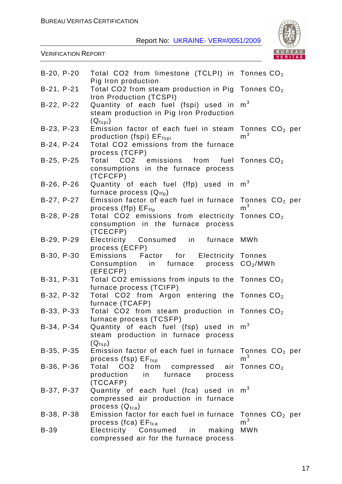

VERIFICATION REPORT

| B-20, P-20                 | Total CO2 from limestone (TCLPI) in Tonnes CO <sub>2</sub><br>Pig Iron production                                                                |                                    |
|----------------------------|--------------------------------------------------------------------------------------------------------------------------------------------------|------------------------------------|
| $B-21, P-21$               | Total CO2 from steam production in Pig Tonnes CO <sub>2</sub><br>Iron Production (TCSPI)                                                         |                                    |
| $B-22, P-22$               | Quantity of each fuel (fspi) used in m <sup>3</sup><br>steam production in Pig Iron Production<br>$(Q_{fspi})$                                   |                                    |
| B-23, P-23<br>$B-24, P-24$ | Emission factor of each fuel in steam Tonnes CO <sub>2</sub> per<br>production (fspi) EF <sub>fspi</sub><br>Total CO2 emissions from the furnace | m <sup>3</sup>                     |
| $B-25, P-25$               | process (TCFP)<br>Total $CO2$ emissions from fuel Tonnes $CO2$<br>consumptions in the furnace process                                            |                                    |
| $B-26, P-26$               | (TCFCFP)<br>Quantity of each fuel (ffp) used in m <sup>3</sup><br>furnace process $(Q_{ffp})$                                                    |                                    |
| B-27, P-27                 | Emission factor of each fuel in furnace Tonnes $CO_2$ per process (ffp) EF <sub>ffp</sub><br>process (ffp) $EF_{ffp}$                            |                                    |
| B-28, P-28                 | Total CO2 emissions from electricity Tonnes CO <sub>2</sub><br>consumption in the furnace process<br>(TCECFP)                                    |                                    |
| B-29, P-29                 | Electricity Consumed in furnace MWh<br>process (ECFP)                                                                                            |                                    |
| B-30, P-30                 | <b>Factor</b> for Electricity Tonnes<br>Emissions<br>Consumption in furnace process $CO2/MWh$<br>(EFECFP)                                        |                                    |
| B-31, P-31                 | Total CO2 emissions from inputs to the Tonnes CO <sub>2</sub><br>furnace process (TCIFP)                                                         |                                    |
| B-32, P-32                 | Total CO2 from Argon entering the Tonnes $CO2$<br>furnace (TCAFP)                                                                                |                                    |
| B-33, P-33                 | Total CO2 from steam production in Tonnes $CO2$<br>furnace process (TCSFP)                                                                       |                                    |
| B-34, P-34                 | Quantity of each fuel (fsp) used in $m3$<br>steam production in furnace process<br>$(Q_{\text{fsp}})$                                            |                                    |
| B-35, P-35                 | Emission factor of each fuel in furnace<br>process (fsp) $EF_{\text{fsp}}$                                                                       | Tonnes $CO2$ per<br>m <sup>3</sup> |
| B-36, P-36                 | Total<br>CO <sub>2</sub><br>from<br>compressed<br>production<br>in<br>furnace<br>process<br>(TCCAFP)                                             | air Tonnes CO <sub>2</sub>         |
| B-37, P-37                 | Quantity of each fuel (fca) used in $m3$<br>compressed air production in furnace                                                                 |                                    |
| B-38, P-38                 | process $(Q_{\text{fca}})$<br>Emission factor for each fuel in furnace                                                                           | Tonnes $CO2$ per<br>m <sup>3</sup> |
| $B-39$                     | process (fca) $EF_{fca}$<br>Electricity Consumed in<br>making<br>compressed air for the furnace process                                          | MWh                                |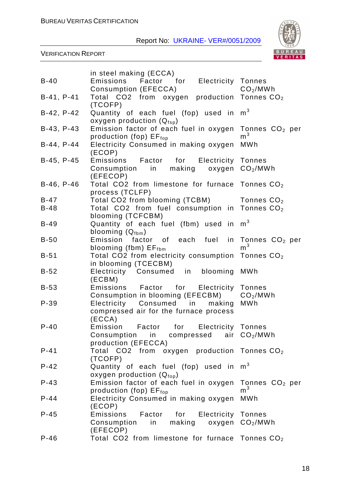



|                  | in steel making (ECCA)                                                                                               |                                                                                                                                                                                                                                  |
|------------------|----------------------------------------------------------------------------------------------------------------------|----------------------------------------------------------------------------------------------------------------------------------------------------------------------------------------------------------------------------------|
| $B-40$           | Emissions Factor for Electricity Tonnes<br>Consumption (EFECCA)                                                      | CO <sub>2</sub> /MWh                                                                                                                                                                                                             |
| $B-41, P-41$     | Total $CO2$ from oxygen production Tonnes $CO2$<br>(TCOFP)                                                           |                                                                                                                                                                                                                                  |
| B-42, P-42       | Quantity of each fuel (fop) used in $m3$                                                                             |                                                                                                                                                                                                                                  |
| B-43, P-43       | oxygen production $(Q_{\text{fsp}})$<br>Emission factor of each fuel in oxygen<br>production (fop) EF <sub>fop</sub> | Tonnes $CO2$ per<br>m <sup>3</sup>                                                                                                                                                                                               |
| $B-44, P-44$     | Electricity Consumed in making oxygen<br>(ECOP)                                                                      | <b>MWh</b>                                                                                                                                                                                                                       |
| B-45, P-45       | Emissions Factor for Electricity Tonnes<br>Consumption in making oxygen $CO2/MWh$<br>(EFECOP)                        |                                                                                                                                                                                                                                  |
| B-46, P-46       | Total CO2 from limestone for furnace Tonnes CO <sub>2</sub><br>process (TCLFP)                                       |                                                                                                                                                                                                                                  |
| $B-47$<br>$B-48$ | Total CO2 from blooming (TCBM)<br>Total CO2 from fuel consumption in Tonnes $CO2$                                    | $\blacksquare$ $\blacksquare$ $\blacksquare$ $\blacksquare$ $\blacksquare$ $\blacksquare$ $\blacksquare$ $\blacksquare$ $\blacksquare$ $\blacksquare$ $\blacksquare$ $\blacksquare$ $\blacksquare$ $\blacksquare$ $\blacksquare$ |
| $B-49$           | blooming (TCFCBM)<br>Quantity of each fuel (fbm) used in $m3$                                                        |                                                                                                                                                                                                                                  |
| $B-50$           | blooming $(Q_{fbm})$<br>Emission factor of each fuel in Tonnes CO <sub>2</sub> per<br>blooming (fbm) $EF_{fbm}$      | m <sup>3</sup>                                                                                                                                                                                                                   |
| $B-51$           | Total CO2 from electricity consumption Tonnes $CO2$<br>in blooming (TCECBM)                                          |                                                                                                                                                                                                                                  |
| $B-52$           | Electricity Consumed in blooming MWh                                                                                 |                                                                                                                                                                                                                                  |
| $B-53$           | (ECBM)<br>Emissions Factor for Electricity Tonnes                                                                    |                                                                                                                                                                                                                                  |
| $P-39$           | Consumption in blooming (EFECBM)<br>Electricity Consumed in making<br>compressed air for the furnace process         | CO <sub>2</sub> /MWh<br><b>MWh</b>                                                                                                                                                                                               |
| $P-40$           | (ECCA)<br>Emission Factor for Electricity Tonnes                                                                     |                                                                                                                                                                                                                                  |
|                  | Consumption<br>compressed air CO <sub>2</sub> /MWh<br>in<br>production (EFECCA)                                      |                                                                                                                                                                                                                                  |
| $P - 41$         | Total $CO2$ from oxygen production Tonnes $CO2$<br>(TCOFP)                                                           |                                                                                                                                                                                                                                  |
| $P-42$           | Quantity of each fuel (fop) used in $m3$                                                                             |                                                                                                                                                                                                                                  |
| $P-43$           | oxygen production $(Q_{\text{top}})$<br>Emission factor of each fuel in oxygen<br>production (fop) $EF_{\text{top}}$ | Tonnes $CO2$ per<br>m <sup>3</sup>                                                                                                                                                                                               |
| $P-44$           | Electricity Consumed in making oxygen<br>(ECOP)                                                                      | <b>MWh</b>                                                                                                                                                                                                                       |
| $P-45$           | Emissions<br>Factor for Electricity Tonnes<br>Consumption<br>in making<br>oxygen                                     | CO <sub>2</sub> /MWh                                                                                                                                                                                                             |
| $P-46$           | (EFECOP)<br>Total CO2 from limestone for furnace Tonnes $CO2$                                                        |                                                                                                                                                                                                                                  |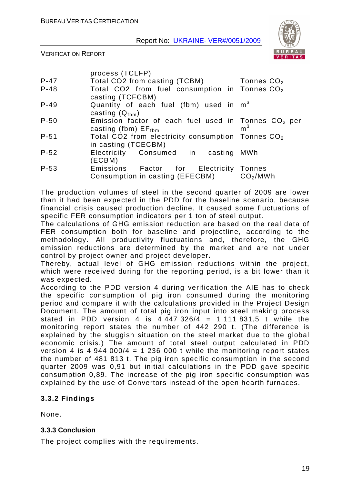VERIFICATION REPORT



process (TCLFP)

| $P - 47$ | Total CO2 from casting (TCBM)                                                     | Tonnes $CO2$         |
|----------|-----------------------------------------------------------------------------------|----------------------|
| $P-48$   | Total CO2 from fuel consumption in Tonnes CO <sub>2</sub><br>casting (TCFCBM)     |                      |
| $P-49$   | Quantity of each fuel (fbm) used in $m3$<br>casting $(Q_{fbm})$                   |                      |
| $P-50$   | Emission factor of each fuel used in Tonnes $CO2$ per<br>casting (fbm) $EF_{fbm}$ | m <sup>3</sup>       |
| $P-51$   | Total CO2 from electricity consumption Tonnes $CO2$<br>in casting (TCECBM)        |                      |
| $P-52$   | Electricity Consumed in casting MWh<br>(ECBM)                                     |                      |
| $P-53$   | Emissions Factor for Electricity Tonnes<br>Consumption in casting (EFECBM)        | CO <sub>2</sub> /MWh |

The production volumes of steel in the second quarter of 2009 are lower than it had been expected in the PDD for the baseline scenario, because financial crisis caused production decline. It caused some fluctuations of specific FER consumption indicators per 1 ton of steel output.

The calculations of GHG emission reduction are based on the real data of FER consumption both for baseline and projectline, according to the methodology. All productivity fluctuations and, therefore, the GHG emission reductions are determined by the market and are not under control by project owner and project developer**.** 

Thereby, actual level of GHG emission reductions within the project, which were received during for the reporting period, is a bit lower than it was expected.

According to the PDD version 4 during verification the AIE has to check the specific consumption of pig iron consumed during the monitoring period and compare it with the calculations provided in the Project Design Document. The amount of total pig iron input into steel making process stated in PDD version 4 is  $4\,447\,326/4 = 1\,111\,831,5$  t while the monitoring report states the number of 442 290 t. (The difference is explained by the sluggish situation on the steel market due to the global economic crisis.) The amount of total steel output calculated in PDD version 4 is 4 944 000/4 = 1 236 000 t while the monitoring report states the number of 481 813 t. The pig iron specific consumption in the second quarter 2009 was 0,91 but initial calculations in the PDD gave specific consumption 0,89. The increase of the pig iron specific consumption was explained by the use of Convertors instead of the open hearth furnaces.

#### **3.3.2 Findings**

None.

#### **3.3.3 Conclusion**

The project complies with the requirements.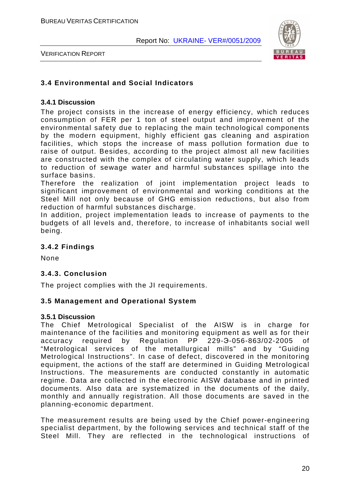

VERIFICATION REPORT

#### **3.4 Environmental and Social Indicators**

#### **3.4.1 Discussion**

The project consists in the increase of energy efficiency, which reduces consumption of FER per 1 ton of steel output and improvement of the environmental safety due to replacing the main technological components by the modern equipment, highly efficient gas cleaning and aspiration facilities, which stops the increase of mass pollution formation due to raise of output. Besides, according to the project almost all new facilities are constructed with the complex of circulating water supply, which leads to reduction of sewage water and harmful substances spillage into the surface basins.

Therefore the realization of joint implementation project leads to significant improvement of environmental and working conditions at the Steel Mill not only because of GHG emission reductions, but also from reduction of harmful substances discharge.

In addition, project implementation leads to increase of payments to the budgets of all levels and, therefore, to increase of inhabitants social well being.

#### **3.4.2 Findings**

None

#### **3.4.3. Conclusion**

The project complies with the JI requirements.

#### **3.5 Management and Operational System**

#### **3.5.1 Discussion**

The Chief Metrological Specialist of the AISW is in charge for maintenance of the facilities and monitoring equipment as well as for their accuracy required by Regulation PP 229-Э-056-863/02-2005 of "Metrological services of the metallurgical mills" and by "Guiding Metrological Instructions". In case of defect, discovered in the monitoring equipment, the actions of the staff are determined in Guiding Metrological Instructions. The measurements are conducted constantly in automatic regime. Data are collected in the electronic AISW database and in printed documents. Also data are systematized in the documents of the daily, monthly and annually registration. All those documents are saved in the planning-economic department.

The measurement results are being used by the Chief power-engineering specialist department, by the following services and technical staff of the Steel Mill. They are reflected in the technological instructions of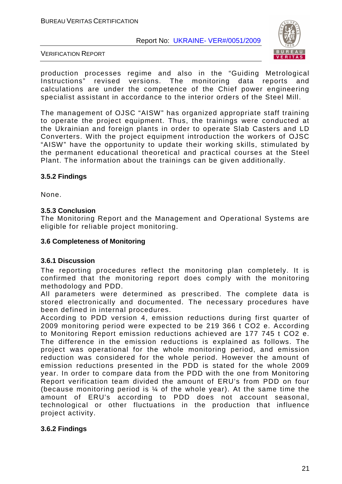

VERIFICATION REPORT

production processes regime and also in the "Guiding Metrological Instructions" revised versions. The monitoring data reports and calculations are under the competence of the Chief power engineering specialist assistant in accordance to the interior orders of the Steel Mill.

The management of OJSC "AISW" has organized appropriate staff training to operate the project equipment. Thus, the trainings were conducted at the Ukrainian and foreign plants in order to operate Slab Casters and LD Converters. With the project equipment introduction the workers of OJSC "AISW" have the opportunity to update their working skills, stimulated by the permanent educational theoretical and practical courses at the Steel Plant. The information about the trainings can be given additionally.

#### **3.5.2 Findings**

None.

#### **3.5.3 Conclusion**

The Monitoring Report and the Management and Operational Systems are eligible for reliable project monitoring.

#### **3.6 Completeness of Monitoring**

#### **3.6.1 Discussion**

The reporting procedures reflect the monitoring plan completely. It is confirmed that the monitoring report does comply with the monitoring methodology and PDD.

All parameters were determined as prescribed. The complete data is stored electronically and documented. The necessary procedures have been defined in internal procedures.

According to PDD version 4, emission reductions during first quarter of 2009 monitoring period were expected to be 219 366 t CO2 e. According to Monitoring Report emission reductions achieved are 177 745 t CO2 e. The difference in the emission reductions is explained as follows. The project was operational for the whole monitoring period, and emission reduction was considered for the whole period. However the amount of emission reductions presented in the PDD is stated for the whole 2009 year. In order to compare data from the PDD with the one from Monitoring Report verification team divided the amount of ERU's from PDD on four (because monitoring period is  $\frac{1}{4}$  of the whole year). At the same time the amount of ERU's according to PDD does not account seasonal, technological or other fluctuations in the production that influence project activity.

#### **3.6.2 Findings**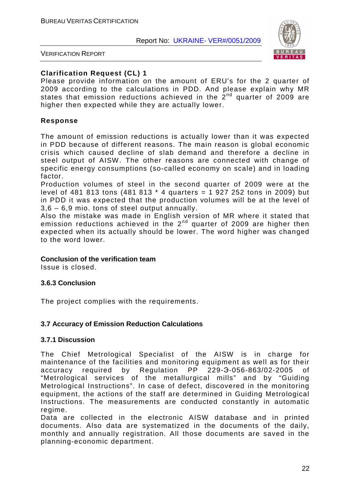

VERIFICATION REPORT

#### **Clarification Request (CL) 1**

Please provide information on the amount of ERU's for the 2 quarter of 2009 according to the calculations in PDD. And please explain why MR states that emission reductions achieved in the  $2^{nd}$  quarter of 2009 are higher then expected while they are actually lower.

#### **Response**

The amount of emission reductions is actually lower than it was expected in PDD because of different reasons. The main reason is global economic crisis which caused decline of slab demand and therefore a decline in steel output of AISW. The other reasons are connected with change of specific energy consumptions (so-called economy on scale) and in loading factor.

Production volumes of steel in the second quarter of 2009 were at the level of 481 813 tons (481 813 \* 4 quarters = 1 927 252 tons in 2009) but in PDD it was expected that the production volumes will be at the level of 3,6 – 6,9 mio. tons of steel output annually.

Also the mistake was made in English version of MR where it stated that emission reductions achieved in the  $2^{nd}$  quarter of 2009 are higher then expected when its actually should be lower. The word higher was changed to the word lower.

#### **Conclusion of the verification team**

Issue is closed.

#### **3.6.3 Conclusion**

The project complies with the requirements.

#### **3.7 Accuracy of Emission Reduction Calculations**

#### **3.7.1 Discussion**

The Chief Metrological Specialist of the AISW is in charge for maintenance of the facilities and monitoring equipment as well as for their accuracy required by Regulation PP 229-Э-056-863/02-2005 of "Metrological services of the metallurgical mills" and by "Guiding Metrological Instructions". In case of defect, discovered in the monitoring equipment, the actions of the staff are determined in Guiding Metrological Instructions. The measurements are conducted constantly in automatic regime.

Data are collected in the electronic AISW database and in printed documents. Also data are systematized in the documents of the daily, monthly and annually registration. All those documents are saved in the planning-economic department.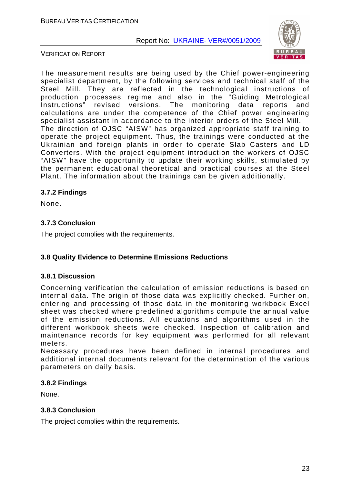

VERIFICATION REPORT

The measurement results are being used by the Chief power-engineering specialist department, by the following services and technical staff of the Steel Mill. They are reflected in the technological instructions of production processes regime and also in the "Guiding Metrological Instructions" revised versions. The monitoring data reports and calculations are under the competence of the Chief power engineering specialist assistant in accordance to the interior orders of the Steel Mill. The direction of OJSC "AISW" has organized appropriate staff training to operate the project equipment. Thus, the trainings were conducted at the Ukrainian and foreign plants in order to operate Slab Casters and LD Converters. With the project equipment introduction the workers of OJSC "AISW" have the opportunity to update their working skills, stimulated by the permanent educational theoretical and practical courses at the Steel Plant. The information about the trainings can be given additionally.

#### **3.7.2 Findings**

None.

#### **3.7.3 Conclusion**

The project complies with the requirements.

#### **3.8 Quality Evidence to Determine Emissions Reductions**

#### **3.8.1 Discussion**

Concerning verification the calculation of emission reductions is based on internal data. The origin of those data was explicitly checked. Further on, entering and processing of those data in the monitoring workbook Excel sheet was checked where predefined algorithms compute the annual value of the emission reductions. All equations and algorithms used in the different workbook sheets were checked. Inspection of calibration and maintenance records for key equipment was performed for all relevant meters.

Necessary procedures have been defined in internal procedures and additional internal documents relevant for the determination of the various parameters on daily basis.

#### **3.8.2 Findings**

None.

#### **3.8.3 Conclusion**

The project complies within the requirements.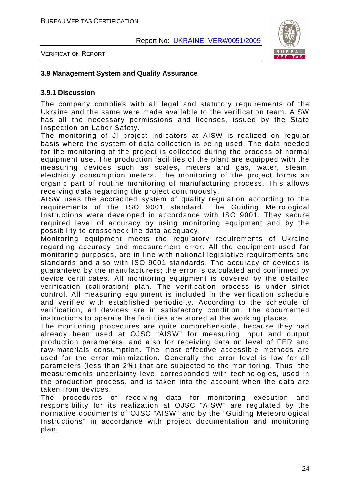

VERIFICATION REPORT

#### **3.9 Management System and Quality Assurance**

#### **3.9.1 Discussion**

The company complies with all legal and statutory requirements of the Ukraine and the same were made available to the verification team. AISW has all the necessary permissions and licenses, issued by the State Inspection on Labor Safety.

The monitoring of JI project indicators at AISW is realized on regular basis where the system of data collection is being used. The data needed for the monitoring of the project is collected during the process of normal equipment use. The production facilities of the plant are equipped with the measuring devices such as scales, meters and gas, water, steam, electricity consumption meters. The monitoring of the project forms an organic part of routine monitoring of manufacturing process. This allows receiving data regarding the project continuously.

AISW uses the accredited system of quality regulation according to the requirements of the ISO 9001 standard. The Guiding Metrological Instructions were developed in accordance with ISO 9001. They secure required level of accuracy by using monitoring equipment and by the possibility to crosscheck the data adequacy.

Monitoring equipment meets the regulatory requirements of Ukraine regarding accuracy and measurement error. All the equipment used for monitoring purposes, are in line with national legislative requirements and standards and also with ISO 9001 standards. The accuracy of devices is guaranteed by the manufacturers; the error is calculated and confirmed by device certificates. All monitoring equipment is covered by the detailed verification (calibration) plan. The verification process is under strict control. All measuring equipment is included in the verification schedule and verified with established periodicity. According to the schedule of verification, all devices are in satisfactory condition. The documented instructions to operate the facilities are stored at the working places.

The monitoring procedures are quite comprehensible, because they had already been used at OJSC "AISW" for measuring input and output production parameters, and also for receiving data on level of FER and raw-materials consumption. The most effective accessible methods are used for the error minimization. Generally the error level is low for all parameters (less than 2%) that are subjected to the monitoring. Thus, the measurements uncertainty level corresponded with technologies, used in the production process, and is taken into the account when the data are taken from devices.

The procedures of receiving data for monitoring execution and responsibility for its realization at OJSC "AISW" are regulated by the normative documents of OJSC "AISW" and by the "Guiding Meteorological Instructions" in accordance with project documentation and monitoring plan.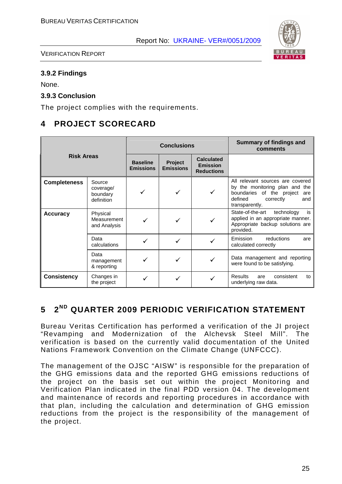

#### VERIFICATION REPORT

#### **3.9.2 Findings**

None.

#### **3.9.3 Conclusion**

The project complies with the requirements.

# **4 PROJECT SCORECARD**

| <b>Risk Areas</b>   |                                               |                                     | <b>Conclusions</b>                 |                                                           | <b>Summary of findings and</b><br>comments                                                                                                              |  |
|---------------------|-----------------------------------------------|-------------------------------------|------------------------------------|-----------------------------------------------------------|---------------------------------------------------------------------------------------------------------------------------------------------------------|--|
|                     |                                               | <b>Baseline</b><br><b>Emissions</b> | <b>Project</b><br><b>Emissions</b> | <b>Calculated</b><br><b>Emission</b><br><b>Reductions</b> |                                                                                                                                                         |  |
| <b>Completeness</b> | Source<br>coverage/<br>boundary<br>definition |                                     |                                    | ✓                                                         | All relevant sources are covered<br>by the monitoring plan and the<br>boundaries of the project<br>are<br>defined<br>correctly<br>and<br>transparently. |  |
| <b>Accuracy</b>     | Physical<br>Measurement<br>and Analysis       |                                     |                                    |                                                           | State-of-the-art<br>technology<br>is<br>applied in an appropriate manner.<br>Appropriate backup solutions are<br>provided.                              |  |
|                     | Data<br>calculations                          |                                     | ✓                                  |                                                           | Emission<br>reductions<br>are<br>calculated correctly                                                                                                   |  |
|                     | Data<br>management<br>& reporting             |                                     |                                    |                                                           | Data management and reporting<br>were found to be satisfying.                                                                                           |  |
| <b>Consistency</b>  | Changes in<br>the project                     |                                     |                                    |                                                           | <b>Results</b><br>consistent<br>are<br>to<br>underlying raw data.                                                                                       |  |

# **5 2ND QUARTER 2009 PERIODIC VERIFICATION STATEMENT**

Bureau Veritas Certification has performed a verification of the JI project "Revamping and Modernization of the Alchevsk Steel Mill". The verification is based on the currently valid documentation of the United Nations Framework Convention on the Climate Change (UNFCCC).

The management of the OJSC "AISW" is responsible for the preparation of the GHG emissions data and the reported GHG emissions reductions of the project on the basis set out within the project Monitoring and Verification Plan indicated in the final PDD version 04. The development and maintenance of records and reporting procedures in accordance with that plan, including the calculation and determination of GHG emission reductions from the project is the responsibility of the management of the project.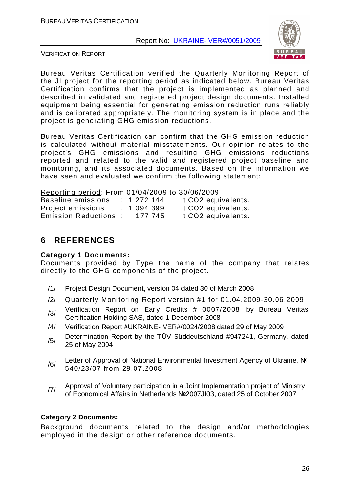

VERIFICATION REPORT

Bureau Veritas Certification verified the Quarterly Monitoring Report of the JI project for the reporting period as indicated below. Bureau Veritas Certification confirms that the project is implemented as planned and described in validated and registered project design documents. Installed equipment being essential for generating emission reduction runs reliably and is calibrated appropriately. The monitoring system is in place and the project is generating GHG emission reductions.

Bureau Veritas Certification can confirm that the GHG emission reduction is calculated without material misstatements. Our opinion relates to the project's GHG emissions and resulting GHG emissions reductions reported and related to the valid and registered project baseline and monitoring, and its associated documents. Based on the information we have seen and evaluated we confirm the following statement:

Reporting period: From 01/04/2009 to 30/06/2009

| the contract of the contract of the contract of the contract of the contract of<br>Baseline emissions | : 1272144 | t CO2 equivalents.             |
|-------------------------------------------------------------------------------------------------------|-----------|--------------------------------|
| Project emissions                                                                                     | : 1094399 | t CO <sub>2</sub> equivalents. |
| <b>Emission Reductions</b>                                                                            | 177 745   | t CO <sub>2</sub> equivalents. |

# **6 REFERENCES**

#### **Category 1 Documents:**

Documents provided by Type the name of the company that relates directly to the GHG components of the project.

- /1/ Project Design Document, version 04 dated 30 of March 2008
- /2/ Quarterly Monitoring Report version #1 for 01.04.2009-30.06.2009
- /3/ Verification Report on Early Credits # 0007/2008 by Bureau Veritas Certification Holding SAS, dated 1 December 2008
- /4/ Verification Report #UKRAINE- VER#/0024/2008 dated 29 of May 2009
- /5/ Determination Report by the TÜV Süddeutschland #947241, Germany, dated 25 of May 2004
- /6/ Letter of Approval of National Environmental Investment Agency of Ukraine, № 540/23/07 from 29.07.2008
- /7/ Approval of Voluntary participation in a Joint Implementation project of Ministry of Economical Affairs in Netherlands №2007JI03, dated 25 of October 2007

#### **Category 2 Documents:**

Background documents related to the design and/or methodologies employed in the design or other reference documents.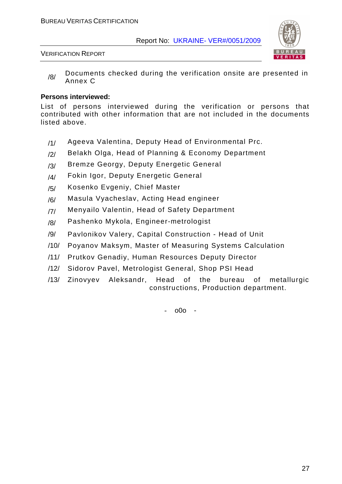

#### VERIFICATION REPORT

/8/ Documents checked during the verification onsite are presented in Annex C

#### **Persons interviewed:**

List of persons interviewed during the verification or persons that contributed with other information that are not included in the documents listed above.

- /1/ Ageeva Valentina, Deputy Head of Environmental Prc.
- /2/ Belakh Olga, Head of Planning & Economy Department
- /3/ Bremze Georgy, Deputy Energetic General
- /4/ Fokin Igor, Deputy Energetic General
- /5/ Kosenko Evgeniy, Chief Master
- /6/ Masula Vyacheslav, Acting Head engineer
- /7/ Menyailo Valentin, Head of Safety Department
- /8/ Pashenko Mykola, Engineer-metrologist
- /9/ Pavlonikov Valery, Capital Construction Head of Unit
- /10/ Poyanov Maksym, Master of Measuring Systems Calculation
- /11/ Prutkov Genadiy, Human Resources Deputy Director
- /12/ Sidorov Pavel, Metrologist General, Shop PSI Head
- /13/ Zinovyev Aleksandr, Head of the bureau of metallurgic constructions, Production department.

- o0o -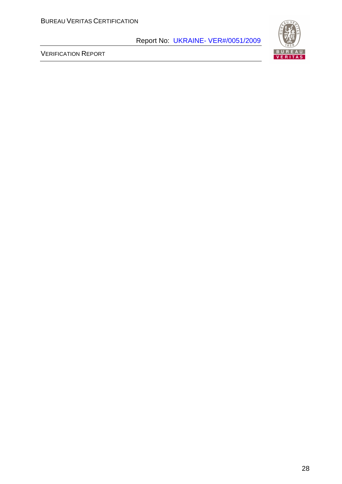VERIFICATION REPORT

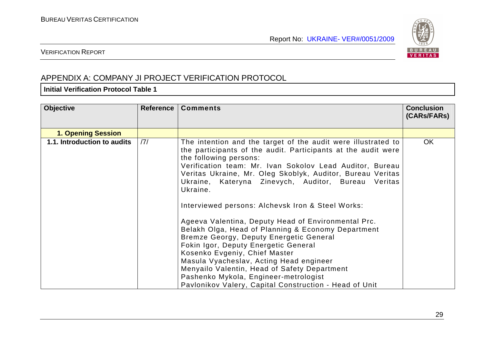

VERIFICATION REPORT

# APPENDIX A: COMPANY JI PROJECT VERIFICATION PROTOCOL

#### **Initial Verification Protocol Table 1**

| <b>Objective</b>            | <b>Reference</b> | <b>Comments</b>                                                                                                                                                                                                                                                                                                                                                                                                                                                                                                                                                                                                                                                                                                                                                                                                                              | <b>Conclusion</b><br>(CARs/FARs) |
|-----------------------------|------------------|----------------------------------------------------------------------------------------------------------------------------------------------------------------------------------------------------------------------------------------------------------------------------------------------------------------------------------------------------------------------------------------------------------------------------------------------------------------------------------------------------------------------------------------------------------------------------------------------------------------------------------------------------------------------------------------------------------------------------------------------------------------------------------------------------------------------------------------------|----------------------------------|
| <b>1. Opening Session</b>   |                  |                                                                                                                                                                                                                                                                                                                                                                                                                                                                                                                                                                                                                                                                                                                                                                                                                                              |                                  |
| 1.1. Introduction to audits | 7                | The intention and the target of the audit were illustrated to<br>the participants of the audit. Participants at the audit were<br>the following persons:<br>Verification team: Mr. Ivan Sokolov Lead Auditor, Bureau<br>Veritas Ukraine, Mr. Oleg Skoblyk, Auditor, Bureau Veritas<br>Ukraine, Kateryna Zinevych, Auditor, Bureau<br>Veritas<br>Ukraine.<br>Interviewed persons: Alchevsk Iron & Steel Works:<br>Ageeva Valentina, Deputy Head of Environmental Prc.<br>Belakh Olga, Head of Planning & Economy Department<br>Bremze Georgy, Deputy Energetic General<br>Fokin Igor, Deputy Energetic General<br>Kosenko Evgeniy, Chief Master<br>Masula Vyacheslav, Acting Head engineer<br>Menyailo Valentin, Head of Safety Department<br>Pashenko Mykola, Engineer-metrologist<br>Pavlonikov Valery, Capital Construction - Head of Unit | <b>OK</b>                        |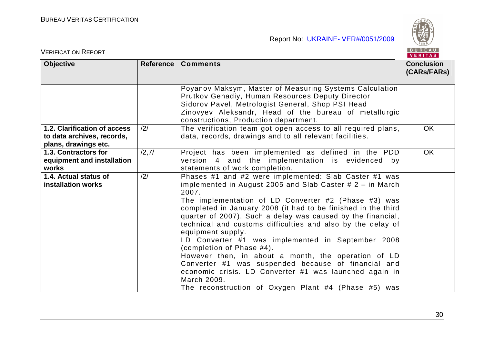

| <b>VERIFICATION REPORT</b>                                                         |                |                                                                                                                                                                                                                                                                                                                                                                                                                                                                                                                                                                                                                                                                                                                                            | BUREAU<br>VERITAS                |
|------------------------------------------------------------------------------------|----------------|--------------------------------------------------------------------------------------------------------------------------------------------------------------------------------------------------------------------------------------------------------------------------------------------------------------------------------------------------------------------------------------------------------------------------------------------------------------------------------------------------------------------------------------------------------------------------------------------------------------------------------------------------------------------------------------------------------------------------------------------|----------------------------------|
| <b>Objective</b>                                                                   | Reference      | <b>Comments</b>                                                                                                                                                                                                                                                                                                                                                                                                                                                                                                                                                                                                                                                                                                                            | <b>Conclusion</b><br>(CARs/FARs) |
|                                                                                    |                | Poyanov Maksym, Master of Measuring Systems Calculation<br>Prutkov Genadiy, Human Resources Deputy Director<br>Sidorov Pavel, Metrologist General, Shop PSI Head<br>Zinovyev Aleksandr, Head of the bureau of metallurgic<br>constructions, Production department.                                                                                                                                                                                                                                                                                                                                                                                                                                                                         |                                  |
| 1.2. Clarification of access<br>to data archives, records,<br>plans, drawings etc. | $\frac{12}{1}$ | The verification team got open access to all required plans,<br>data, records, drawings and to all relevant facilities.                                                                                                                                                                                                                                                                                                                                                                                                                                                                                                                                                                                                                    | <b>OK</b>                        |
| 1.3. Contractors for<br>equipment and installation<br>works                        | /2,7/          | Project has been implemented as defined in the PDD<br>version 4 and the implementation is evidenced by<br>statements of work completion.                                                                                                                                                                                                                                                                                                                                                                                                                                                                                                                                                                                                   | <b>OK</b>                        |
| 1.4. Actual status of<br><b>installation works</b>                                 | $\frac{12}{1}$ | Phases #1 and #2 were implemented: Slab Caster #1 was<br>implemented in August 2005 and Slab Caster $# 2 - in March$<br>2007.<br>The implementation of LD Converter #2 (Phase #3) was<br>completed in January 2008 (it had to be finished in the third<br>quarter of 2007). Such a delay was caused by the financial,<br>technical and customs difficulties and also by the delay of<br>equipment supply.<br>LD Converter #1 was implemented in September 2008<br>(completion of Phase #4).<br>However then, in about a month, the operation of LD<br>Converter #1 was suspended because of financial and<br>economic crisis. LD Converter #1 was launched again in<br>March 2009.<br>The reconstruction of Oxygen Plant #4 (Phase #5) was |                                  |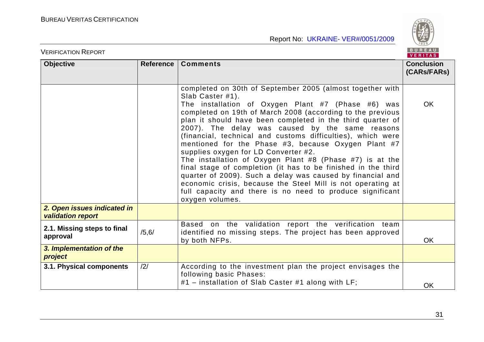

| BUREAU<br><b>VERIFICATION REPORT</b><br><b>VERITAS</b>  |           |                                                                                                                                                                                                                                                                                                                                                                                                                                                                                                                                                                                                                                                                                                                                                                                                                            |                                  |  |
|---------------------------------------------------------|-----------|----------------------------------------------------------------------------------------------------------------------------------------------------------------------------------------------------------------------------------------------------------------------------------------------------------------------------------------------------------------------------------------------------------------------------------------------------------------------------------------------------------------------------------------------------------------------------------------------------------------------------------------------------------------------------------------------------------------------------------------------------------------------------------------------------------------------------|----------------------------------|--|
| <b>Objective</b>                                        | Reference | <b>Comments</b>                                                                                                                                                                                                                                                                                                                                                                                                                                                                                                                                                                                                                                                                                                                                                                                                            | <b>Conclusion</b><br>(CARs/FARs) |  |
|                                                         |           | completed on 30th of September 2005 (almost together with<br>Slab Caster #1).<br>The installation of Oxygen Plant #7 (Phase #6) was<br>completed on 19th of March 2008 (according to the previous<br>plan it should have been completed in the third quarter of<br>2007). The delay was caused by the same reasons<br>(financial, technical and customs difficulties), which were<br>mentioned for the Phase #3, because Oxygen Plant #7<br>supplies oxygen for LD Converter #2.<br>The installation of Oxygen Plant #8 (Phase #7) is at the<br>final stage of completion (it has to be finished in the third<br>quarter of 2009). Such a delay was caused by financial and<br>economic crisis, because the Steel Mill is not operating at<br>full capacity and there is no need to produce significant<br>oxygen volumes. | <b>OK</b>                        |  |
| 2. Open issues indicated in<br><b>validation report</b> |           |                                                                                                                                                                                                                                                                                                                                                                                                                                                                                                                                                                                                                                                                                                                                                                                                                            |                                  |  |
| 2.1. Missing steps to final<br>approval                 | /5, 6/    | Based on the validation report the verification team<br>identified no missing steps. The project has been approved<br>by both NFPs.                                                                                                                                                                                                                                                                                                                                                                                                                                                                                                                                                                                                                                                                                        | <b>OK</b>                        |  |
| 3. Implementation of the<br>project                     |           |                                                                                                                                                                                                                                                                                                                                                                                                                                                                                                                                                                                                                                                                                                                                                                                                                            |                                  |  |
| 3.1. Physical components                                | /2/       | According to the investment plan the project envisages the<br>following basic Phases:<br>#1 – installation of Slab Caster #1 along with LF;                                                                                                                                                                                                                                                                                                                                                                                                                                                                                                                                                                                                                                                                                | OK                               |  |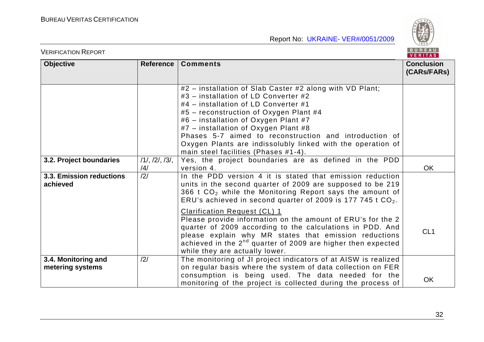

| <b>VERIFICATION REPORT</b>           |                         |                                                                                                                                                                                                                                                                                                                                                                                                                                                                                              | BUREAU<br><b>VERITAS</b>         |
|--------------------------------------|-------------------------|----------------------------------------------------------------------------------------------------------------------------------------------------------------------------------------------------------------------------------------------------------------------------------------------------------------------------------------------------------------------------------------------------------------------------------------------------------------------------------------------|----------------------------------|
| <b>Objective</b>                     | Reference               | <b>Comments</b>                                                                                                                                                                                                                                                                                                                                                                                                                                                                              | <b>Conclusion</b><br>(CARs/FARs) |
| 3.2. Project boundaries              | $/1/$ , $/2/$ , $/3/$ , | #2 - installation of Slab Caster #2 along with VD Plant;<br>#3 - installation of LD Converter #2<br>#4 - installation of LD Converter #1<br>#5 - reconstruction of Oxygen Plant #4<br>#6 – installation of Oxygen Plant #7<br>#7 - installation of Oxygen Plant #8<br>Phases 5-7 aimed to reconstruction and introduction of<br>Oxygen Plants are indissolubly linked with the operation of<br>main steel facilities (Phases #1-4).<br>Yes, the project boundaries are as defined in the PDD |                                  |
|                                      | /4/                     | version 4.                                                                                                                                                                                                                                                                                                                                                                                                                                                                                   | <b>OK</b>                        |
| 3.3. Emission reductions<br>achieved | /2/                     | In the PDD version 4 it is stated that emission reduction<br>units in the second quarter of 2009 are supposed to be 219<br>366 $t$ CO <sub>2</sub> while the Monitoring Report says the amount of<br>ERU's achieved in second quarter of 2009 is 177 745 t $CO2$ .                                                                                                                                                                                                                           |                                  |
|                                      |                         | Clarification Request (CL) 1<br>Please provide information on the amount of ERU's for the 2<br>quarter of 2009 according to the calculations in PDD. And<br>please explain why MR states that emission reductions<br>achieved in the $2^{nd}$ quarter of 2009 are higher then expected<br>while they are actually lower.                                                                                                                                                                     | CL <sub>1</sub>                  |
| 3.4. Monitoring and                  | /2/                     | The monitoring of JI project indicators of at AISW is realized                                                                                                                                                                                                                                                                                                                                                                                                                               |                                  |
| metering systems                     |                         | on regular basis where the system of data collection on FER<br>consumption is being used. The data needed for the<br>monitoring of the project is collected during the process of                                                                                                                                                                                                                                                                                                            | <b>OK</b>                        |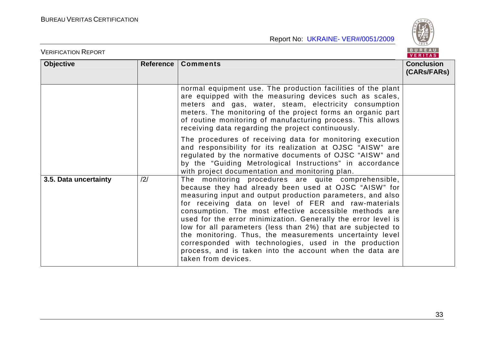

| <b>VERIFICATION REPORT</b> | BUREAU<br>VERITAS |                                                                                                                                                                                                                                                                                                                                                                                                                                                                                                                                                                                                                                       |                                  |  |
|----------------------------|-------------------|---------------------------------------------------------------------------------------------------------------------------------------------------------------------------------------------------------------------------------------------------------------------------------------------------------------------------------------------------------------------------------------------------------------------------------------------------------------------------------------------------------------------------------------------------------------------------------------------------------------------------------------|----------------------------------|--|
| <b>Objective</b>           | Reference         | <b>Comments</b>                                                                                                                                                                                                                                                                                                                                                                                                                                                                                                                                                                                                                       | <b>Conclusion</b><br>(CARs/FARs) |  |
|                            |                   | normal equipment use. The production facilities of the plant<br>are equipped with the measuring devices such as scales,<br>meters and gas, water, steam, electricity consumption<br>meters. The monitoring of the project forms an organic part<br>of routine monitoring of manufacturing process. This allows<br>receiving data regarding the project continuously.                                                                                                                                                                                                                                                                  |                                  |  |
|                            |                   | The procedures of receiving data for monitoring execution<br>and responsibility for its realization at OJSC "AISW" are<br>regulated by the normative documents of OJSC "AISW" and<br>by the "Guiding Metrological Instructions" in accordance<br>with project documentation and monitoring plan.                                                                                                                                                                                                                                                                                                                                      |                                  |  |
| 3.5. Data uncertainty      | /2/               | The monitoring procedures are quite comprehensible,<br>because they had already been used at OJSC "AISW" for<br>measuring input and output production parameters, and also<br>for receiving data on level of FER and raw-materials<br>consumption. The most effective accessible methods are<br>used for the error minimization. Generally the error level is<br>low for all parameters (less than 2%) that are subjected to<br>the monitoring. Thus, the measurements uncertainty level<br>corresponded with technologies, used in the production<br>process, and is taken into the account when the data are<br>taken from devices. |                                  |  |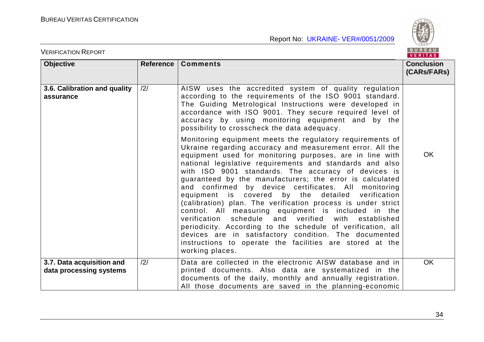

| <b>VERIFICATION REPORT</b>                           |           |                                                                                                                                                                                                                                                                                                                                                                                                                                                                                                                                                                                                                                                                                                                                                                                                                                                                     | BUREAU<br><b>VERITAS</b>         |
|------------------------------------------------------|-----------|---------------------------------------------------------------------------------------------------------------------------------------------------------------------------------------------------------------------------------------------------------------------------------------------------------------------------------------------------------------------------------------------------------------------------------------------------------------------------------------------------------------------------------------------------------------------------------------------------------------------------------------------------------------------------------------------------------------------------------------------------------------------------------------------------------------------------------------------------------------------|----------------------------------|
| <b>Objective</b>                                     | Reference | <b>Comments</b>                                                                                                                                                                                                                                                                                                                                                                                                                                                                                                                                                                                                                                                                                                                                                                                                                                                     | <b>Conclusion</b><br>(CARs/FARs) |
| 3.6. Calibration and quality<br>assurance            | /2/       | AISW uses the accredited system of quality regulation<br>according to the requirements of the ISO 9001 standard.<br>The Guiding Metrological Instructions were developed in<br>accordance with ISO 9001. They secure required level of<br>accuracy by using monitoring equipment and by the<br>possibility to crosscheck the data adequacy.                                                                                                                                                                                                                                                                                                                                                                                                                                                                                                                         |                                  |
|                                                      |           | Monitoring equipment meets the regulatory requirements of<br>Ukraine regarding accuracy and measurement error. All the<br>equipment used for monitoring purposes, are in line with<br>national legislative requirements and standards and also<br>with ISO 9001 standards. The accuracy of devices is<br>guaranteed by the manufacturers; the error is calculated<br>and confirmed by device certificates. All monitoring<br>equipment is covered by the detailed verification<br>(calibration) plan. The verification process is under strict<br>control. All measuring equipment is included in the<br>verification schedule and verified with established<br>periodicity. According to the schedule of verification, all<br>devices are in satisfactory condition. The documented<br>instructions to operate the facilities are stored at the<br>working places. | <b>OK</b>                        |
| 3.7. Data acquisition and<br>data processing systems | /2/       | Data are collected in the electronic AISW database and in<br>printed documents. Also data are systematized in the<br>documents of the daily, monthly and annually registration.<br>All those documents are saved in the planning-economic                                                                                                                                                                                                                                                                                                                                                                                                                                                                                                                                                                                                                           | <b>OK</b>                        |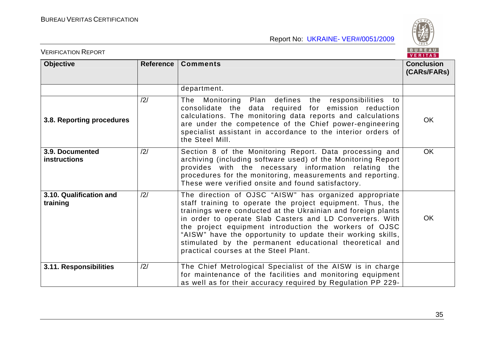

| <b>VERIFICATION REPORT</b>             |           |                                                                                                                                                                                                                                                                                                                                                                                                                                                                               | BUREAU<br><b>VERITAS</b>         |
|----------------------------------------|-----------|-------------------------------------------------------------------------------------------------------------------------------------------------------------------------------------------------------------------------------------------------------------------------------------------------------------------------------------------------------------------------------------------------------------------------------------------------------------------------------|----------------------------------|
| <b>Objective</b>                       | Reference | <b>Comments</b>                                                                                                                                                                                                                                                                                                                                                                                                                                                               | <b>Conclusion</b><br>(CARS/FARS) |
|                                        |           | department.                                                                                                                                                                                                                                                                                                                                                                                                                                                                   |                                  |
| 3.8. Reporting procedures              | /2/       | The Monitoring Plan defines the responsibilities to<br>consolidate the data required for emission reduction<br>calculations. The monitoring data reports and calculations<br>are under the competence of the Chief power-engineering<br>specialist assistant in accordance to the interior orders of<br>the Steel Mill.                                                                                                                                                       | <b>OK</b>                        |
| 3.9. Documented<br><b>instructions</b> | /2/       | Section 8 of the Monitoring Report. Data processing and<br>archiving (including software used) of the Monitoring Report<br>provides with the necessary information relating the<br>procedures for the monitoring, measurements and reporting.<br>These were verified onsite and found satisfactory.                                                                                                                                                                           | <b>OK</b>                        |
| 3.10. Qualification and<br>training    | /2/       | The direction of OJSC "AISW" has organized appropriate<br>staff training to operate the project equipment. Thus, the<br>trainings were conducted at the Ukrainian and foreign plants<br>in order to operate Slab Casters and LD Converters. With<br>the project equipment introduction the workers of OJSC<br>"AISW" have the opportunity to update their working skills,<br>stimulated by the permanent educational theoretical and<br>practical courses at the Steel Plant. | OK                               |
| 3.11. Responsibilities                 | /2/       | The Chief Metrological Specialist of the AISW is in charge<br>for maintenance of the facilities and monitoring equipment<br>as well as for their accuracy required by Regulation PP 229-                                                                                                                                                                                                                                                                                      |                                  |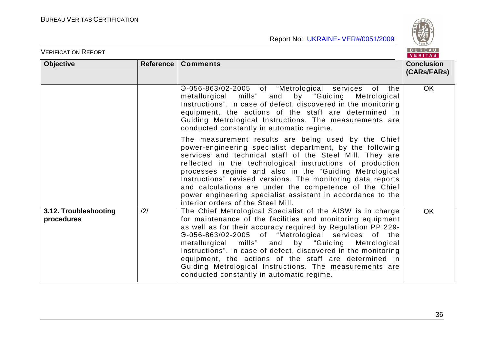

| <b>VERIFICATION REPORT</b>          |           |                                                                                                                                                                                                                                                                                                                                                                                                                                                                                                                                        |                                  |
|-------------------------------------|-----------|----------------------------------------------------------------------------------------------------------------------------------------------------------------------------------------------------------------------------------------------------------------------------------------------------------------------------------------------------------------------------------------------------------------------------------------------------------------------------------------------------------------------------------------|----------------------------------|
| <b>Objective</b>                    | Reference | <b>Comments</b>                                                                                                                                                                                                                                                                                                                                                                                                                                                                                                                        | <b>Conclusion</b><br>(CARs/FARs) |
|                                     |           | 3-056-863/02-2005 of "Metrological services of<br>the<br>metallurgical mills" and<br>by "Guiding<br>Metrological<br>Instructions". In case of defect, discovered in the monitoring<br>equipment, the actions of the staff are determined in<br>Guiding Metrological Instructions. The measurements are<br>conducted constantly in automatic regime.                                                                                                                                                                                    | <b>OK</b>                        |
|                                     |           | The measurement results are being used by the Chief<br>power-engineering specialist department, by the following<br>services and technical staff of the Steel Mill. They are<br>reflected in the technological instructions of production<br>processes regime and also in the "Guiding Metrological<br>Instructions" revised versions. The monitoring data reports<br>and calculations are under the competence of the Chief<br>power engineering specialist assistant in accordance to the<br>interior orders of the Steel Mill.      |                                  |
| 3.12. Troubleshooting<br>procedures | /2/       | The Chief Metrological Specialist of the AISW is in charge<br>for maintenance of the facilities and monitoring equipment<br>as well as for their accuracy required by Regulation PP 229-<br>3-056-863/02-2005 of "Metrological services of the<br>metallurgical mills" and by "Guiding Metrological<br>Instructions". In case of defect, discovered in the monitoring<br>equipment, the actions of the staff are determined in<br>Guiding Metrological Instructions. The measurements are<br>conducted constantly in automatic regime. | <b>OK</b>                        |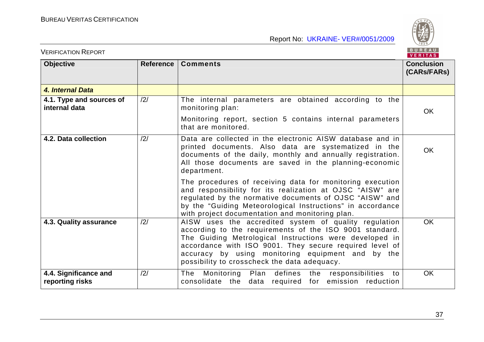BUREAU

| <b>VERIFICATION REPORT</b>                |           |                                                                                                                                                                                                                                                                                                                                             | BUREAU<br>VERITAS                |
|-------------------------------------------|-----------|---------------------------------------------------------------------------------------------------------------------------------------------------------------------------------------------------------------------------------------------------------------------------------------------------------------------------------------------|----------------------------------|
| <b>Objective</b>                          | Reference | <b>Comments</b>                                                                                                                                                                                                                                                                                                                             | <b>Conclusion</b><br>(CARs/FARs) |
| 4. Internal Data                          |           |                                                                                                                                                                                                                                                                                                                                             |                                  |
| 4.1. Type and sources of<br>internal data | /2/       | The internal parameters are obtained according to the<br>monitoring plan:                                                                                                                                                                                                                                                                   | <b>OK</b>                        |
|                                           |           | Monitoring report, section 5 contains internal parameters<br>that are monitored.                                                                                                                                                                                                                                                            |                                  |
| 4.2. Data collection                      | /2/       | Data are collected in the electronic AISW database and in<br>printed documents. Also data are systematized in the<br>documents of the daily, monthly and annually registration.<br>All those documents are saved in the planning-economic<br>department.                                                                                    | <b>OK</b>                        |
|                                           |           | The procedures of receiving data for monitoring execution<br>and responsibility for its realization at OJSC "AISW" are<br>regulated by the normative documents of OJSC "AISW" and<br>by the "Guiding Meteorological Instructions" in accordance<br>with project documentation and monitoring plan.                                          |                                  |
| 4.3. Quality assurance                    | /2/       | AISW uses the accredited system of quality regulation<br>according to the requirements of the ISO 9001 standard.<br>The Guiding Metrological Instructions were developed in<br>accordance with ISO 9001. They secure required level of<br>accuracy by using monitoring equipment and by the<br>possibility to crosscheck the data adequacy. | OK                               |
| 4.4. Significance and<br>reporting risks  | /2/       | The Monitoring Plan defines the responsibilities to<br>consolidate the data<br>required for emission reduction                                                                                                                                                                                                                              | <b>OK</b>                        |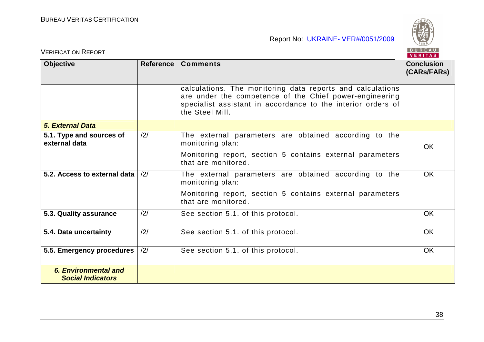

| BUREAU<br><b>VERIFICATION REPORT</b><br>VERITAS         |                |                                                                                                                                                                                                          |                                  |
|---------------------------------------------------------|----------------|----------------------------------------------------------------------------------------------------------------------------------------------------------------------------------------------------------|----------------------------------|
| <b>Objective</b>                                        | Reference      | <b>Comments</b>                                                                                                                                                                                          | <b>Conclusion</b><br>(CARs/FARs) |
|                                                         |                | calculations. The monitoring data reports and calculations<br>are under the competence of the Chief power-engineering<br>specialist assistant in accordance to the interior orders of<br>the Steel Mill. |                                  |
| <b>5. External Data</b>                                 |                |                                                                                                                                                                                                          |                                  |
| 5.1. Type and sources of<br>external data               | /2/            | The external parameters are obtained according to the<br>monitoring plan:                                                                                                                                | OK                               |
|                                                         |                | Monitoring report, section 5 contains external parameters<br>that are monitored.                                                                                                                         |                                  |
| 5.2. Access to external data                            | $\frac{12}{1}$ | The external parameters are obtained according to the<br>monitoring plan:                                                                                                                                | OK                               |
|                                                         |                | Monitoring report, section 5 contains external parameters<br>that are monitored.                                                                                                                         |                                  |
| 5.3. Quality assurance                                  | /2/            | See section 5.1. of this protocol.                                                                                                                                                                       | <b>OK</b>                        |
| 5.4. Data uncertainty                                   | /2/            | See section 5.1. of this protocol.                                                                                                                                                                       | OK                               |
| 5.5. Emergency procedures                               | $\frac{12}{1}$ | See section 5.1. of this protocol.                                                                                                                                                                       | <b>OK</b>                        |
| <b>6. Environmental and</b><br><b>Social Indicators</b> |                |                                                                                                                                                                                                          |                                  |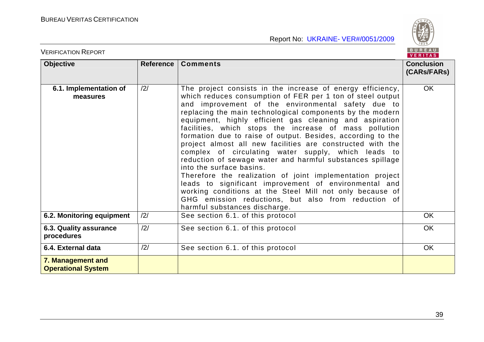

| <b>VERIFICATION REPORT</b>                     |                  |                                                                                                                                                                                                                                                                                                                                                                                                                                                                                                                                                                                                                                                                                                                                                                                                                                                                                                                         |                                  |
|------------------------------------------------|------------------|-------------------------------------------------------------------------------------------------------------------------------------------------------------------------------------------------------------------------------------------------------------------------------------------------------------------------------------------------------------------------------------------------------------------------------------------------------------------------------------------------------------------------------------------------------------------------------------------------------------------------------------------------------------------------------------------------------------------------------------------------------------------------------------------------------------------------------------------------------------------------------------------------------------------------|----------------------------------|
| <b>Objective</b>                               | <b>Reference</b> | <b>Comments</b>                                                                                                                                                                                                                                                                                                                                                                                                                                                                                                                                                                                                                                                                                                                                                                                                                                                                                                         | <b>Conclusion</b><br>(CARs/FARs) |
| 6.1. Implementation of<br>measures             | /2/              | The project consists in the increase of energy efficiency,<br>which reduces consumption of FER per 1 ton of steel output<br>and improvement of the environmental safety due to<br>replacing the main technological components by the modern<br>equipment, highly efficient gas cleaning and aspiration<br>facilities, which stops the increase of mass pollution<br>formation due to raise of output. Besides, according to the<br>project almost all new facilities are constructed with the<br>complex of circulating water supply, which leads to<br>reduction of sewage water and harmful substances spillage<br>into the surface basins.<br>Therefore the realization of joint implementation project<br>leads to significant improvement of environmental and<br>working conditions at the Steel Mill not only because of<br>GHG emission reductions, but also from reduction of<br>harmful substances discharge. | <b>OK</b>                        |
| 6.2. Monitoring equipment                      | /2/              | See section 6.1. of this protocol                                                                                                                                                                                                                                                                                                                                                                                                                                                                                                                                                                                                                                                                                                                                                                                                                                                                                       | OK                               |
| 6.3. Quality assurance<br>procedures           | /2/              | See section 6.1. of this protocol                                                                                                                                                                                                                                                                                                                                                                                                                                                                                                                                                                                                                                                                                                                                                                                                                                                                                       | OK                               |
| 6.4. External data                             | /2/              | See section 6.1. of this protocol                                                                                                                                                                                                                                                                                                                                                                                                                                                                                                                                                                                                                                                                                                                                                                                                                                                                                       | <b>OK</b>                        |
| 7. Management and<br><b>Operational System</b> |                  |                                                                                                                                                                                                                                                                                                                                                                                                                                                                                                                                                                                                                                                                                                                                                                                                                                                                                                                         |                                  |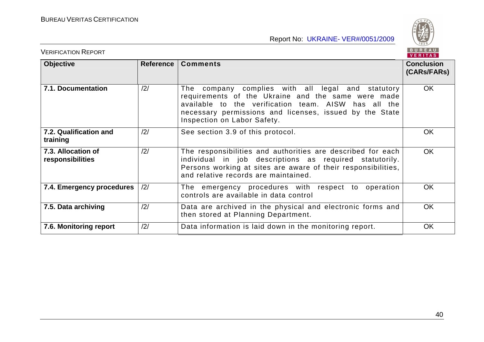

| <b>VERIFICATION REPORT</b>             |           |                                                                                                                                                                                                                                                              | BUREAU<br><b>VERITAS</b>         |
|----------------------------------------|-----------|--------------------------------------------------------------------------------------------------------------------------------------------------------------------------------------------------------------------------------------------------------------|----------------------------------|
| <b>Objective</b>                       | Reference | <b>Comments</b>                                                                                                                                                                                                                                              | <b>Conclusion</b><br>(CARS/FARS) |
| 7.1. Documentation                     | /2/       | company complies with all legal and statutory<br>The<br>requirements of the Ukraine and the same were made<br>available to the verification team. AISW has all the<br>necessary permissions and licenses, issued by the State<br>Inspection on Labor Safety. | <b>OK</b>                        |
| 7.2. Qualification and<br>training     | /2/       | See section 3.9 of this protocol.                                                                                                                                                                                                                            | OK                               |
| 7.3. Allocation of<br>responsibilities | /2/       | The responsibilities and authorities are described for each<br>individual in job descriptions as required statutorily.<br>Persons working at sites are aware of their responsibilities,<br>and relative records are maintained.                              | <b>OK</b>                        |
| 7.4. Emergency procedures              | /2/       | The emergency procedures with respect to operation<br>controls are available in data control                                                                                                                                                                 | <b>OK</b>                        |
| 7.5. Data archiving                    | /2/       | Data are archived in the physical and electronic forms and<br>then stored at Planning Department.                                                                                                                                                            | <b>OK</b>                        |
| 7.6. Monitoring report                 | /2/       | Data information is laid down in the monitoring report.                                                                                                                                                                                                      | OK                               |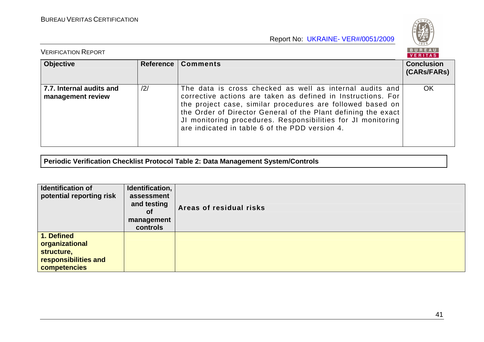

| <b>VERIFICATION REPORT</b>                    |           |                                                                                                                                                                                                                                                                                                                                                                           | BUREAU<br>VERITAS                |
|-----------------------------------------------|-----------|---------------------------------------------------------------------------------------------------------------------------------------------------------------------------------------------------------------------------------------------------------------------------------------------------------------------------------------------------------------------------|----------------------------------|
| <b>Objective</b>                              | Reference | <b>Comments</b>                                                                                                                                                                                                                                                                                                                                                           | <b>Conclusion</b><br>(CARs/FARs) |
| 7.7. Internal audits and<br>management review | 2         | The data is cross checked as well as internal audits and<br>corrective actions are taken as defined in Instructions. For<br>the project case, similar procedures are followed based on<br>the Order of Director General of the Plant defining the exact<br>JI monitoring procedures. Responsibilities for JI monitoring<br>are indicated in table 6 of the PDD version 4. | OK                               |

**Periodic Verification Checklist Protocol Table 2: Data Management System/Controls** 

| <b>Identification of</b><br>potential reporting risk                                      | Identification,<br>assessment<br>and testing<br><b>of</b><br>management<br>controls | Areas of residual risks |
|-------------------------------------------------------------------------------------------|-------------------------------------------------------------------------------------|-------------------------|
| 1. Defined<br>organizational<br>structure,<br>responsibilities and<br><b>competencies</b> |                                                                                     |                         |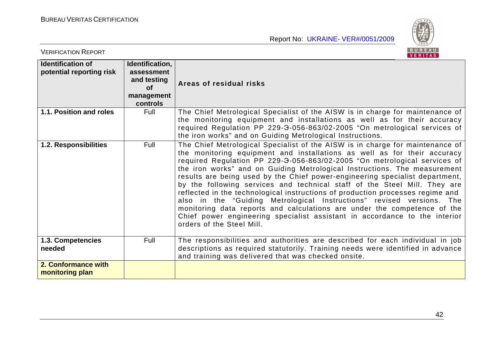

| <b>VERIFICATION REPORT</b>                           |                                                                                     | BUREAU<br>VERITAS                                                                                                                                                                                                                                                                                                                                                                                                                                                                                                                                                                                                                                                                                                                                                                                                                  |
|------------------------------------------------------|-------------------------------------------------------------------------------------|------------------------------------------------------------------------------------------------------------------------------------------------------------------------------------------------------------------------------------------------------------------------------------------------------------------------------------------------------------------------------------------------------------------------------------------------------------------------------------------------------------------------------------------------------------------------------------------------------------------------------------------------------------------------------------------------------------------------------------------------------------------------------------------------------------------------------------|
| <b>Identification of</b><br>potential reporting risk | Identification,<br>assessment<br>and testing<br><b>of</b><br>management<br>controls | Areas of residual risks                                                                                                                                                                                                                                                                                                                                                                                                                                                                                                                                                                                                                                                                                                                                                                                                            |
| 1.1. Position and roles                              | Full                                                                                | The Chief Metrological Specialist of the AISW is in charge for maintenance of<br>the monitoring equipment and installations as well as for their accuracy<br>required Regulation PP 229-3-056-863/02-2005 "On metrological services of<br>the iron works" and on Guiding Metrological Instructions.                                                                                                                                                                                                                                                                                                                                                                                                                                                                                                                                |
| 1.2. Responsibilities                                | Full                                                                                | The Chief Metrological Specialist of the AISW is in charge for maintenance of<br>the monitoring equipment and installations as well as for their accuracy<br>required Regulation PP 229-3-056-863/02-2005 "On metrological services of<br>the iron works" and on Guiding Metrological Instructions. The measurement<br>results are being used by the Chief power-engineering specialist department,<br>by the following services and technical staff of the Steel Mill. They are<br>reflected in the technological instructions of production processes regime and<br>also in the "Guiding Metrological Instructions" revised versions. The<br>monitoring data reports and calculations are under the competence of the<br>Chief power engineering specialist assistant in accordance to the interior<br>orders of the Steel Mill. |
| 1.3. Competencies<br>needed                          | Full                                                                                | The responsibilities and authorities are described for each individual in job<br>descriptions as required statutorily. Training needs were identified in advance<br>and training was delivered that was checked onsite.                                                                                                                                                                                                                                                                                                                                                                                                                                                                                                                                                                                                            |
| 2. Conformance with<br>monitoring plan               |                                                                                     |                                                                                                                                                                                                                                                                                                                                                                                                                                                                                                                                                                                                                                                                                                                                                                                                                                    |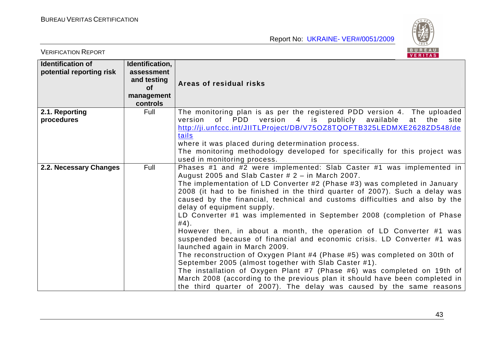

| <b>VERIFICATION REPORT</b>                           |                                                                                     | BUREAU<br>VERITAS                                                                                                                                                                                                                                                                                                                                                                                                                                                                                                                                                                                                                                                                                                                                                                                                                                                                                                                                                                                                                                    |
|------------------------------------------------------|-------------------------------------------------------------------------------------|------------------------------------------------------------------------------------------------------------------------------------------------------------------------------------------------------------------------------------------------------------------------------------------------------------------------------------------------------------------------------------------------------------------------------------------------------------------------------------------------------------------------------------------------------------------------------------------------------------------------------------------------------------------------------------------------------------------------------------------------------------------------------------------------------------------------------------------------------------------------------------------------------------------------------------------------------------------------------------------------------------------------------------------------------|
| <b>Identification of</b><br>potential reporting risk | Identification,<br>assessment<br>and testing<br><b>of</b><br>management<br>controls | Areas of residual risks                                                                                                                                                                                                                                                                                                                                                                                                                                                                                                                                                                                                                                                                                                                                                                                                                                                                                                                                                                                                                              |
| 2.1. Reporting<br>procedures                         | Full                                                                                | The monitoring plan is as per the registered PDD version 4. The uploaded<br>of PDD<br>version<br>version<br>$\overline{4}$<br>is<br>publicly<br>available<br>at<br>the<br>site<br>http://ji.unfccc.int/JIITLProject/DB/V75OZ8TQOFTB325LEDMXE2628ZD548/de<br>tails<br>where it was placed during determination process.<br>The monitoring methodology developed for specifically for this project was<br>used in monitoring process.                                                                                                                                                                                                                                                                                                                                                                                                                                                                                                                                                                                                                  |
| 2.2. Necessary Changes                               | Full                                                                                | Phases #1 and #2 were implemented: Slab Caster #1 was implemented in<br>August 2005 and Slab Caster $# 2 - in$ March 2007.<br>The implementation of LD Converter #2 (Phase #3) was completed in January<br>2008 (it had to be finished in the third quarter of 2007). Such a delay was<br>caused by the financial, technical and customs difficulties and also by the<br>delay of equipment supply.<br>LD Converter #1 was implemented in September 2008 (completion of Phase<br>$#4$ ).<br>However then, in about a month, the operation of LD Converter #1 was<br>suspended because of financial and economic crisis. LD Converter #1 was<br>launched again in March 2009.<br>The reconstruction of Oxygen Plant #4 (Phase #5) was completed on 30th of<br>September 2005 (almost together with Slab Caster #1).<br>The installation of Oxygen Plant #7 (Phase #6) was completed on 19th of<br>March 2008 (according to the previous plan it should have been completed in<br>the third quarter of 2007). The delay was caused by the same reasons |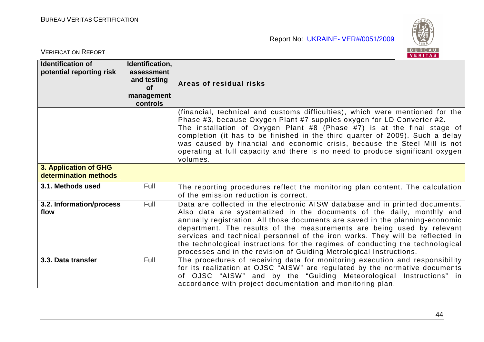

| <b>VERIFICATION REPORT</b>                           |                                                                                     | BUREAU<br>VERITAS                                                                                                                                                                                                                                                                                                                                                                                                                                                                                                                                          |
|------------------------------------------------------|-------------------------------------------------------------------------------------|------------------------------------------------------------------------------------------------------------------------------------------------------------------------------------------------------------------------------------------------------------------------------------------------------------------------------------------------------------------------------------------------------------------------------------------------------------------------------------------------------------------------------------------------------------|
| <b>Identification of</b><br>potential reporting risk | Identification,<br>assessment<br>and testing<br><b>of</b><br>management<br>controls | Areas of residual risks                                                                                                                                                                                                                                                                                                                                                                                                                                                                                                                                    |
|                                                      |                                                                                     | (financial, technical and customs difficulties), which were mentioned for the<br>Phase #3, because Oxygen Plant #7 supplies oxygen for LD Converter #2.<br>The installation of Oxygen Plant #8 (Phase #7) is at the final stage of<br>completion (it has to be finished in the third quarter of 2009). Such a delay<br>was caused by financial and economic crisis, because the Steel Mill is not<br>operating at full capacity and there is no need to produce significant oxygen<br>volumes.                                                             |
| 3. Application of GHG<br>determination methods       |                                                                                     |                                                                                                                                                                                                                                                                                                                                                                                                                                                                                                                                                            |
| 3.1. Methods used                                    | Full                                                                                | The reporting procedures reflect the monitoring plan content. The calculation<br>of the emission reduction is correct.                                                                                                                                                                                                                                                                                                                                                                                                                                     |
| 3.2. Information/process<br>flow                     | Full                                                                                | Data are collected in the electronic AISW database and in printed documents.<br>Also data are systematized in the documents of the daily, monthly and<br>annually registration. All those documents are saved in the planning-economic<br>department. The results of the measurements are being used by relevant<br>services and technical personnel of the iron works. They will be reflected in<br>the technological instructions for the regimes of conducting the technological<br>processes and in the revision of Guiding Metrological Instructions. |
| 3.3. Data transfer                                   | Full                                                                                | The procedures of receiving data for monitoring execution and responsibility<br>for its realization at OJSC "AISW" are regulated by the normative documents<br>of OJSC "AISW" and by the "Guiding Meteorological Instructions" in<br>accordance with project documentation and monitoring plan.                                                                                                                                                                                                                                                            |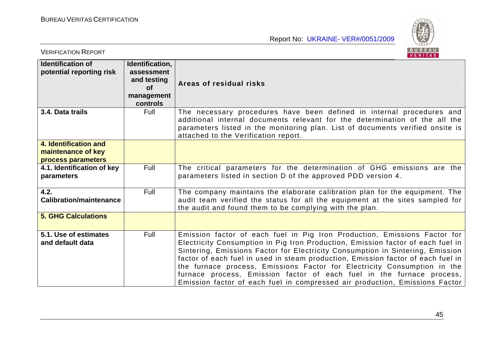

| <b>VERIFICATION REPORT</b>                                        |                                                                              | BUREAU<br>VERITAS                                                                                                                                                                                                                                                                                                                                                                                                                                                                                                                                                      |
|-------------------------------------------------------------------|------------------------------------------------------------------------------|------------------------------------------------------------------------------------------------------------------------------------------------------------------------------------------------------------------------------------------------------------------------------------------------------------------------------------------------------------------------------------------------------------------------------------------------------------------------------------------------------------------------------------------------------------------------|
| <b>Identification of</b><br>potential reporting risk              | Identification,<br>assessment<br>and testing<br>of<br>management<br>controls | Areas of residual risks                                                                                                                                                                                                                                                                                                                                                                                                                                                                                                                                                |
| 3.4. Data trails                                                  | Full                                                                         | The necessary procedures have been defined in internal procedures and<br>additional internal documents relevant for the determination of the all the<br>parameters listed in the monitoring plan. List of documents verified onsite is<br>attached to the Verification report.                                                                                                                                                                                                                                                                                         |
| 4. Identification and<br>maintenance of key<br>process parameters |                                                                              |                                                                                                                                                                                                                                                                                                                                                                                                                                                                                                                                                                        |
| 4.1. Identification of key<br>parameters                          | Full                                                                         | The critical parameters for the determination of GHG emissions are the<br>parameters listed in section D of the approved PDD version 4.                                                                                                                                                                                                                                                                                                                                                                                                                                |
| 4.2.<br><b>Calibration/maintenance</b>                            | Full                                                                         | The company maintains the elaborate calibration plan for the equipment. The<br>audit team verified the status for all the equipment at the sites sampled for<br>the audit and found them to be complying with the plan.                                                                                                                                                                                                                                                                                                                                                |
| <b>5. GHG Calculations</b>                                        |                                                                              |                                                                                                                                                                                                                                                                                                                                                                                                                                                                                                                                                                        |
| 5.1. Use of estimates<br>and default data                         | Full                                                                         | Emission factor of each fuel in Pig Iron Production, Emissions Factor for<br>Electricity Consumption in Pig Iron Production, Emission factor of each fuel in<br>Sintering, Emissions Factor for Electricity Consumption in Sintering, Emission<br>factor of each fuel in used in steam production, Emission factor of each fuel in<br>the furnace process, Emissions Factor for Electricity Consumption in the<br>furnace process, Emission factor of each fuel in the furnace process,<br>Emission factor of each fuel in compressed air production, Emissions Factor |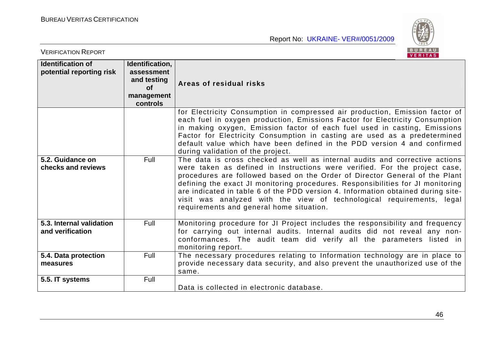

| <b>VERIFICATION REPORT</b>                           |                                                                                     | BUREAU<br>VERITAS                                                                                                                                                                                                                                                                                                                                                                                                                                                                                                                    |
|------------------------------------------------------|-------------------------------------------------------------------------------------|--------------------------------------------------------------------------------------------------------------------------------------------------------------------------------------------------------------------------------------------------------------------------------------------------------------------------------------------------------------------------------------------------------------------------------------------------------------------------------------------------------------------------------------|
| <b>Identification of</b><br>potential reporting risk | Identification,<br>assessment<br>and testing<br><b>of</b><br>management<br>controls | Areas of residual risks                                                                                                                                                                                                                                                                                                                                                                                                                                                                                                              |
|                                                      |                                                                                     | for Electricity Consumption in compressed air production, Emission factor of<br>each fuel in oxygen production, Emissions Factor for Electricity Consumption<br>in making oxygen, Emission factor of each fuel used in casting, Emissions<br>Factor for Electricity Consumption in casting are used as a predetermined<br>default value which have been defined in the PDD version 4 and confirmed<br>during validation of the project.                                                                                              |
| 5.2. Guidance on<br>checks and reviews               | Full                                                                                | The data is cross checked as well as internal audits and corrective actions<br>were taken as defined in Instructions were verified. For the project case,<br>procedures are followed based on the Order of Director General of the Plant<br>defining the exact JI monitoring procedures. Responsibilities for JI monitoring<br>are indicated in table 6 of the PDD version 4. Information obtained during site-<br>visit was analyzed with the view of technological requirements, legal<br>requirements and general home situation. |
| 5.3. Internal validation<br>and verification         | Full                                                                                | Monitoring procedure for JI Project includes the responsibility and frequency<br>for carrying out internal audits. Internal audits did not reveal any non-<br>conformances. The audit team did verify all the parameters listed in<br>monitoring report.                                                                                                                                                                                                                                                                             |
| 5.4. Data protection<br>measures                     | Full                                                                                | The necessary procedures relating to Information technology are in place to<br>provide necessary data security, and also prevent the unauthorized use of the<br>same.                                                                                                                                                                                                                                                                                                                                                                |
| 5.5. IT systems                                      | Full                                                                                | Data is collected in electronic database.                                                                                                                                                                                                                                                                                                                                                                                                                                                                                            |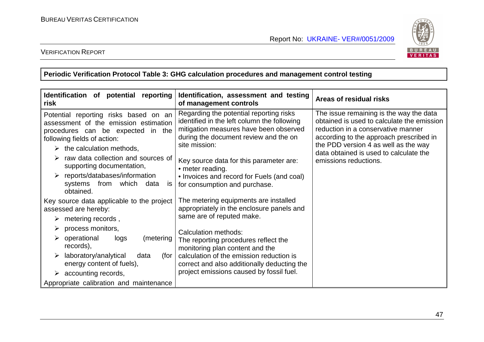

#### VERIFICATION REPORT

**Periodic Verification Protocol Table 3: GHG calculation procedures and management control testing** 

| Identification of potential reporting<br>risk                                                                                                                                                                                                                                                                                                                  | Identification, assessment and testing<br>of management controls                                                                                                                                                                                                                                                                                          | Areas of residual risks                                                                                                                                                                                                                                                           |
|----------------------------------------------------------------------------------------------------------------------------------------------------------------------------------------------------------------------------------------------------------------------------------------------------------------------------------------------------------------|-----------------------------------------------------------------------------------------------------------------------------------------------------------------------------------------------------------------------------------------------------------------------------------------------------------------------------------------------------------|-----------------------------------------------------------------------------------------------------------------------------------------------------------------------------------------------------------------------------------------------------------------------------------|
| Potential reporting risks based on an<br>assessment of the emission estimation<br>procedures can be expected in the<br>following fields of action:<br>the calculation methods,<br>raw data collection and sources of<br>supporting documentation,<br>$\triangleright$ reports/databases/information<br>systems from<br>which<br>data<br><b>IS</b><br>obtained. | Regarding the potential reporting risks<br>identified in the left column the following<br>mitigation measures have been observed<br>during the document review and the on<br>site mission:<br>Key source data for this parameter are:<br>• meter reading.<br>• Invoices and record for Fuels (and coal)<br>for consumption and purchase.                  | The issue remaining is the way the data<br>obtained is used to calculate the emission<br>reduction in a conservative manner<br>according to the approach prescribed in<br>the PDD version 4 as well as the way<br>data obtained is used to calculate the<br>emissions reductions. |
| Key source data applicable to the project<br>assessed are hereby:<br>metering records,<br>process monitors,<br>➤<br>operational<br>(metering<br>logs<br>➤<br>records),<br>laboratory/analytical<br>data<br>(for<br>energy content of fuels),<br>$\triangleright$ accounting records,                                                                           | The metering equipments are installed<br>appropriately in the enclosure panels and<br>same are of reputed make.<br>Calculation methods:<br>The reporting procedures reflect the<br>monitoring plan content and the<br>calculation of the emission reduction is<br>correct and also additionally deducting the<br>project emissions caused by fossil fuel. |                                                                                                                                                                                                                                                                                   |
| Appropriate calibration and maintenance                                                                                                                                                                                                                                                                                                                        |                                                                                                                                                                                                                                                                                                                                                           |                                                                                                                                                                                                                                                                                   |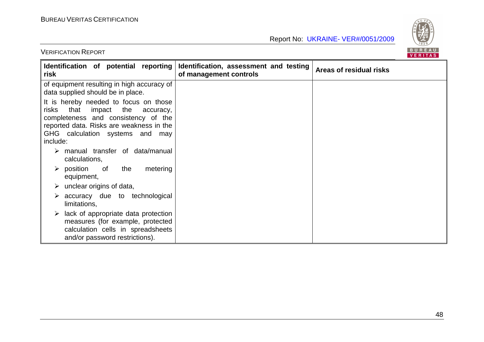

|                                                                                                                                                                                                                        |                                                                  | VENIIAS.                |
|------------------------------------------------------------------------------------------------------------------------------------------------------------------------------------------------------------------------|------------------------------------------------------------------|-------------------------|
| Identification of potential reporting<br>risk                                                                                                                                                                          | Identification, assessment and testing<br>of management controls | Areas of residual risks |
| of equipment resulting in high accuracy of<br>data supplied should be in place.                                                                                                                                        |                                                                  |                         |
| It is hereby needed to focus on those<br>that<br>impact<br>the<br>risks<br>accuracy,<br>completeness and consistency of the<br>reported data. Risks are weakness in the<br>GHG calculation systems and may<br>include: |                                                                  |                         |
| manual transfer of data/manual<br>calculations,                                                                                                                                                                        |                                                                  |                         |
| position<br>the<br>metering<br>of<br>equipment,                                                                                                                                                                        |                                                                  |                         |
| unclear origins of data,                                                                                                                                                                                               |                                                                  |                         |
| accuracy due to technological<br>limitations,                                                                                                                                                                          |                                                                  |                         |
| lack of appropriate data protection<br>➤<br>measures (for example, protected<br>calculation cells in spreadsheets<br>and/or password restrictions).                                                                    |                                                                  |                         |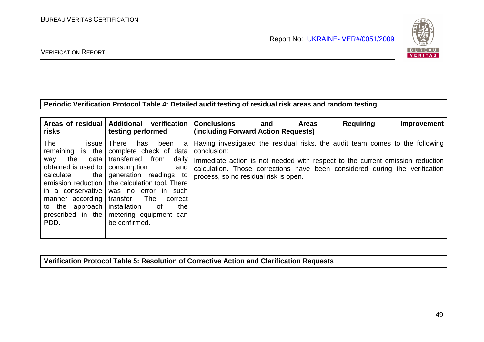

#### VERIFICATION REPORT

### **Periodic Verification Protocol Table 4: Detailed audit testing of residual risk areas and random testing**

| Areas of residual   Additional<br>risks                                                                                                                                                                        | verification<br>testing performed                                                                                                                                                                                                                                                                         | <b>Requiring</b><br><b>Conclusions</b><br><b>Improvement</b><br>and<br><b>Areas</b><br>(including Forward Action Requests)                                                                                                                                                                            |
|----------------------------------------------------------------------------------------------------------------------------------------------------------------------------------------------------------------|-----------------------------------------------------------------------------------------------------------------------------------------------------------------------------------------------------------------------------------------------------------------------------------------------------------|-------------------------------------------------------------------------------------------------------------------------------------------------------------------------------------------------------------------------------------------------------------------------------------------------------|
| The<br>issue  <br>remaining is the<br>data l<br>the<br>way<br>obtained is used to<br>calculate<br>the  <br>in a conservative<br>manner according transfer. The<br>to the approach<br>prescribed in the<br>PDD. | <b>There</b><br>has<br>been<br>a<br>complete check of data<br>transferred<br>daily<br>from<br>consumption<br>and<br>generation readings to<br>emission reduction   the calculation tool. There<br>was no error in such<br>correct<br>installation<br>of<br>the<br>metering equipment can<br>be confirmed. | Having investigated the residual risks, the audit team comes to the following<br>conclusion:<br>Immediate action is not needed with respect to the current emission reduction<br>calculation. Those corrections have been considered during the verification<br>process, so no residual risk is open. |

**Verification Protocol Table 5: Resolution of Corrective Action and Clarification Requests**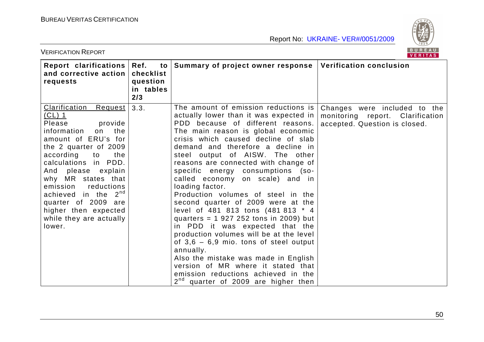

| BUREAU<br><b>VERIFICATION REPORT</b><br><b>VERITAS</b>                                                                                                                                                                                                                                                                                                                                           |                                                         |                                                                                                                                                                                                                                                                                                                                                                                                                                                                                                                                                                                                                                                                                                                                                                                                                                                                                            |                                                                                                   |
|--------------------------------------------------------------------------------------------------------------------------------------------------------------------------------------------------------------------------------------------------------------------------------------------------------------------------------------------------------------------------------------------------|---------------------------------------------------------|--------------------------------------------------------------------------------------------------------------------------------------------------------------------------------------------------------------------------------------------------------------------------------------------------------------------------------------------------------------------------------------------------------------------------------------------------------------------------------------------------------------------------------------------------------------------------------------------------------------------------------------------------------------------------------------------------------------------------------------------------------------------------------------------------------------------------------------------------------------------------------------------|---------------------------------------------------------------------------------------------------|
| Report clarifications<br>and corrective action<br>requests                                                                                                                                                                                                                                                                                                                                       | Ref.<br>to<br>checklist<br>question<br>in tables<br>2/3 | Summary of project owner response                                                                                                                                                                                                                                                                                                                                                                                                                                                                                                                                                                                                                                                                                                                                                                                                                                                          | <b>Verification conclusion</b>                                                                    |
| <b>Clarification</b><br><u>Request</u><br>(CL) 1<br>Please<br>provide<br>information<br>the<br>on<br>amount of ERU's for<br>the 2 quarter of 2009<br>according<br>to<br>the<br>calculations in PDD.<br>And please explain<br>why MR states that<br>emission<br>reductions<br>achieved in the 2 <sup>nd</sup><br>quarter of 2009 are<br>higher then expected<br>while they are actually<br>lower. | 3.3.                                                    | The amount of emission reductions is<br>actually lower than it was expected in<br>PDD because of different reasons.<br>The main reason is global economic<br>crisis which caused decline of slab<br>demand and therefore a decline in<br>steel output of AISW. The other<br>reasons are connected with change of<br>specific energy consumptions (so-<br>called economy on scale) and in<br>loading factor.<br>Production volumes of steel in the<br>second quarter of 2009 were at the<br>level of 481 813 tons (481 813 * 4<br>quarters = $1\,927\,252$ tons in 2009) but<br>in PDD it was expected that the<br>production volumes will be at the level<br>of $3,6 - 6,9$ mio. tons of steel output<br>annually.<br>Also the mistake was made in English<br>version of MR where it stated that<br>emission reductions achieved in the<br>2 <sup>nd</sup> quarter of 2009 are higher then | Changes were included to the<br>monitoring report. Clarification<br>accepted. Question is closed. |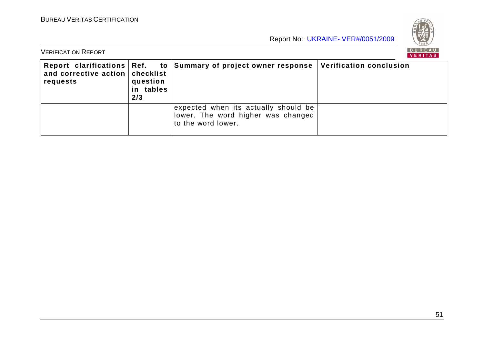

| BUREAU<br><b>VERIFICATION REPORT</b><br>VERITAS |                              |                                                                                                  |                                |
|-------------------------------------------------|------------------------------|--------------------------------------------------------------------------------------------------|--------------------------------|
| and corrective action   checklist<br>requests   | question<br>in tables<br>2/3 | Report clarifications $ Ref.$ to $ Summary of project owner response$                            | <b>Verification conclusion</b> |
|                                                 |                              | expected when its actually should be<br>lower. The word higher was changed<br>to the word lower. |                                |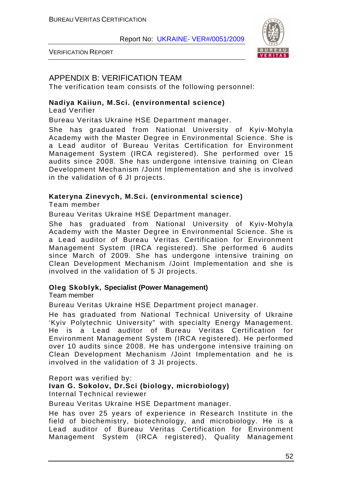

VERIFICATION REPORT

### APPENDIX B: VERIFICATION TEAM

The verification team consists of the following personnel:

#### **Nadiya Kaiiun, M.Sci. (environmental science)**

Lead Verifier

Bureau Veritas Ukraine HSE Department manager.

She has graduated from National University of Kyiv-Mohyla Academy with the Master Degree in Environmental Science. She is a Lead auditor of Bureau Veritas Certification for Environment Management System (IRCA registered). She performed over 15 audits since 2008. She has undergone intensive training on Clean Development Mechanism /Joint Implementation and she is involved in the validation of 6 JI projects.

# **Kateryna Zinevych, M.Sci. (environmental science)**

Team member

Bureau Veritas Ukraine HSE Department manager.

She has graduated from National University of Kyiv-Mohyla Academy with the Master Degree in Environmental Science. She is a Lead auditor of Bureau Veritas Certification for Environment Management System (IRCA registered). She performed 6 audits since March of 2009. She has undergone intensive training on Clean Development Mechanism /Joint Implementation and she is involved in the validation of 5 JI projects.

#### **Oleg Skoblyk, Specialist (Power Management)**

Team member

Bureau Veritas Ukraine HSE Department project manager.

He has graduated from National Technical University of Ukraine 'Kyiv Polytechnic University" with specialty Energy Management. He is a Lead auditor of Bureau Veritas Certification for Environment Management System (IRCA registered). He performed over 10 audits since 2008. He has undergone intensive training on Clean Development Mechanism /Joint Implementation and he is involved in the validation of 3 JI projects.

Report was verified by:

#### **Ivan G. Sokolov, Dr.Sci (biology, microbiology)**

Internal Technical reviewer

Bureau Veritas Ukraine HSE Department manager.

He has over 25 years of experience in Research Institute in the field of biochemistry, biotechnology, and microbiology. He is a Lead auditor of Bureau Veritas Certification for Environment Management System (IRCA registered), Quality Management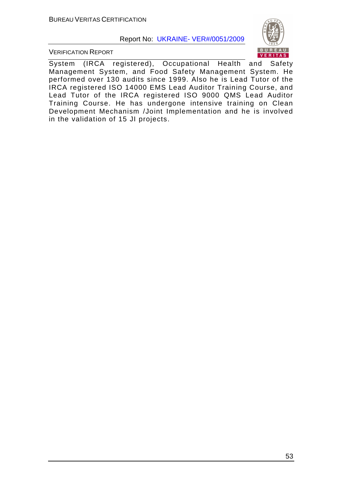VERIFICATION REPORT



System (IRCA registered), Occupational Health and Safety Management System, and Food Safety Management System. He performed over 130 audits since 1999. Also he is Lead Tutor of the IRCA registered ISO 14000 EMS Lead Auditor Training Course, and Lead Tutor of the IRCA registered ISO 9000 QMS Lead Auditor Training Course. He has undergone intensive training on Clean Development Mechanism /Joint Implementation and he is involved in the validation of 15 JI projects.